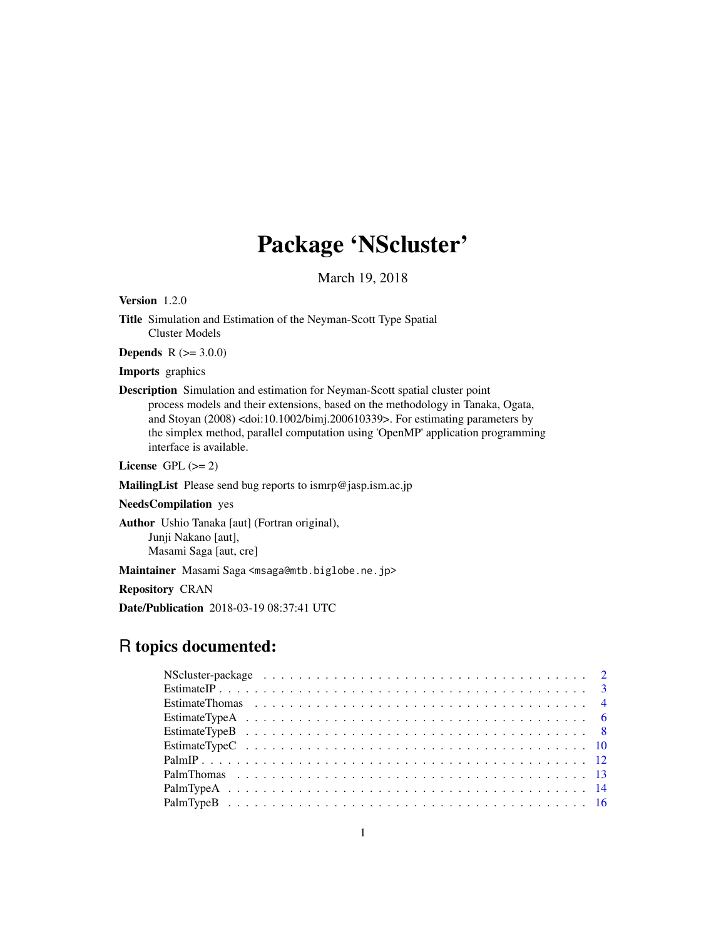# Package 'NScluster'

March 19, 2018

Version 1.2.0

Title Simulation and Estimation of the Neyman-Scott Type Spatial Cluster Models

**Depends** R  $(>= 3.0.0)$ 

Imports graphics

Description Simulation and estimation for Neyman-Scott spatial cluster point process models and their extensions, based on the methodology in Tanaka, Ogata, and Stoyan (2008) <doi:10.1002/bimj.200610339>. For estimating parameters by the simplex method, parallel computation using 'OpenMP' application programming interface is available.

License GPL  $(>= 2)$ 

MailingList Please send bug reports to ismrp@jasp.ism.ac.jp

NeedsCompilation yes

Author Ushio Tanaka [aut] (Fortran original), Junji Nakano [aut], Masami Saga [aut, cre]

Maintainer Masami Saga <msaga@mtb.biglobe.ne.jp>

Repository CRAN

Date/Publication 2018-03-19 08:37:41 UTC

# R topics documented: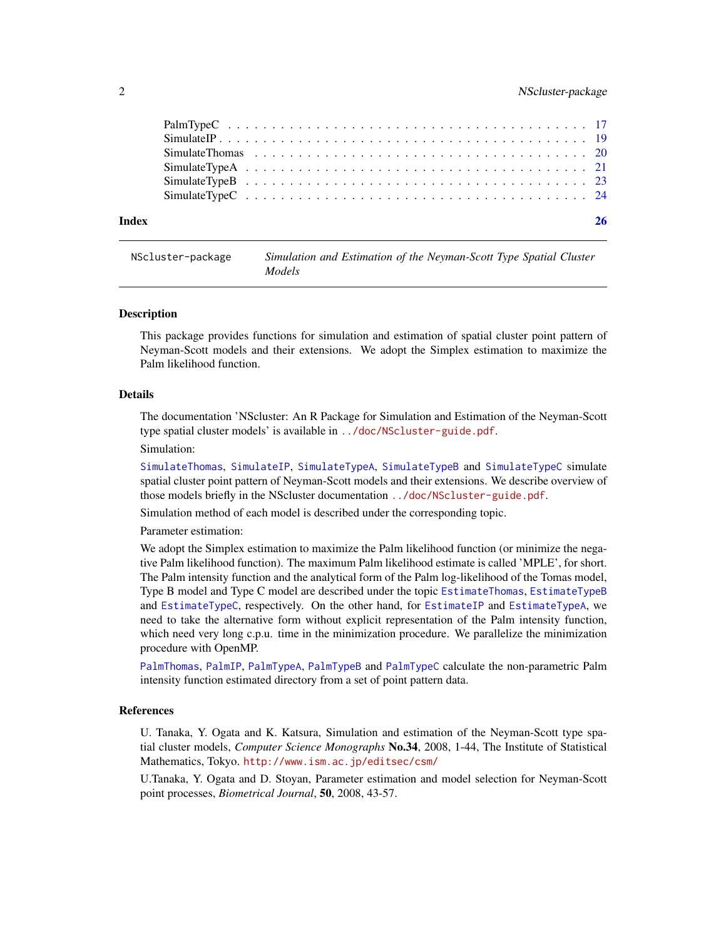<span id="page-1-0"></span>

| Index |  |
|-------|--|
|       |  |
|       |  |
|       |  |
|       |  |
|       |  |
|       |  |

NScluster-package *Simulation and Estimation of the Neyman-Scott Type Spatial Cluster Models*

#### **Description**

This package provides functions for simulation and estimation of spatial cluster point pattern of Neyman-Scott models and their extensions. We adopt the Simplex estimation to maximize the Palm likelihood function.

#### Details

The documentation 'NScluster: An R Package for Simulation and Estimation of the Neyman-Scott type spatial cluster models' is available in <../doc/NScluster-guide.pdf>. Simulation:

[SimulateThomas](#page-19-1), [SimulateIP](#page-18-1), [SimulateTypeA](#page-20-1), [SimulateTypeB](#page-22-1) and [SimulateTypeC](#page-23-1) simulate spatial cluster point pattern of Neyman-Scott models and their extensions. We describe overview of those models briefly in the NScluster documentation <../doc/NScluster-guide.pdf>.

Simulation method of each model is described under the corresponding topic.

Parameter estimation:

We adopt the Simplex estimation to maximize the Palm likelihood function (or minimize the negative Palm likelihood function). The maximum Palm likelihood estimate is called 'MPLE', for short. The Palm intensity function and the analytical form of the Palm log-likelihood of the Tomas model, Type B model and Type C model are described under the topic [EstimateThomas](#page-3-1), [EstimateTypeB](#page-7-1) and [EstimateTypeC](#page-9-1), respectively. On the other hand, for [EstimateIP](#page-2-1) and [EstimateTypeA](#page-5-1), we need to take the alternative form without explicit representation of the Palm intensity function, which need very long c.p.u. time in the minimization procedure. We parallelize the minimization procedure with OpenMP.

[PalmThomas](#page-12-1), [PalmIP](#page-11-1), [PalmTypeA](#page-13-1), [PalmTypeB](#page-15-1) and [PalmTypeC](#page-16-1) calculate the non-parametric Palm intensity function estimated directory from a set of point pattern data.

# References

U. Tanaka, Y. Ogata and K. Katsura, Simulation and estimation of the Neyman-Scott type spatial cluster models, *Computer Science Monographs* No.34, 2008, 1-44, The Institute of Statistical Mathematics, Tokyo. <http://www.ism.ac.jp/editsec/csm/>

U.Tanaka, Y. Ogata and D. Stoyan, Parameter estimation and model selection for Neyman-Scott point processes, *Biometrical Journal*, 50, 2008, 43-57.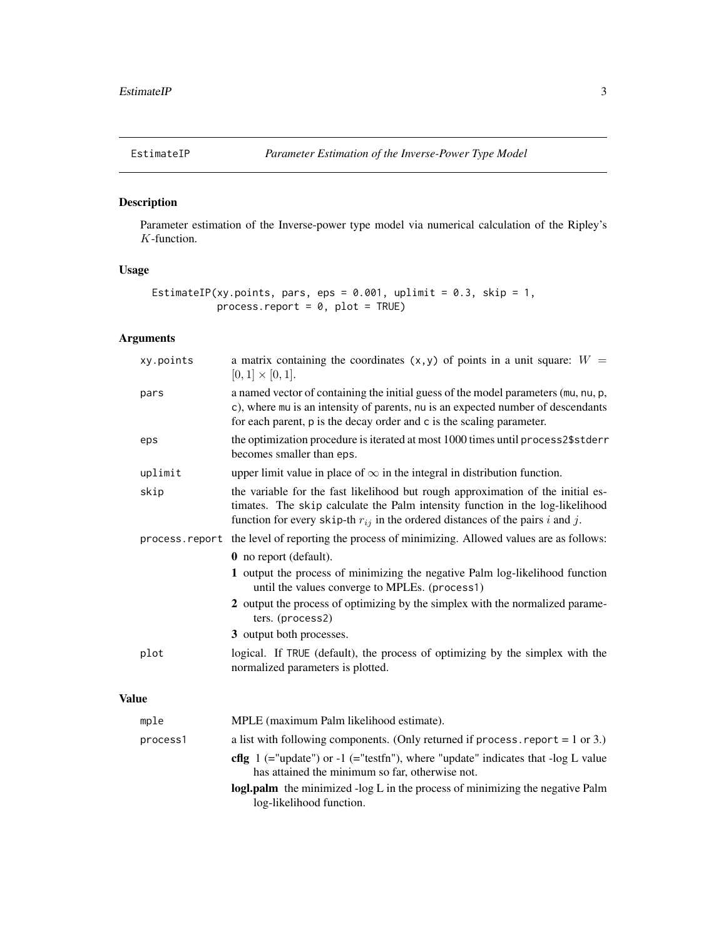<span id="page-2-1"></span><span id="page-2-0"></span>

# Description

Parameter estimation of the Inverse-power type model via numerical calculation of the Ripley's K-function.

# Usage

```
EstimateIP(xy.points, pars, eps = 0.001, uplimit = 0.3, skip = 1,
           process.report = 0, plot = TRUE)
```
# Arguments

|              | xy.points | a matrix containing the coordinates $(x, y)$ of points in a unit square: $W =$<br>$[0,1] \times [0,1].$                                                                                                                                                |
|--------------|-----------|--------------------------------------------------------------------------------------------------------------------------------------------------------------------------------------------------------------------------------------------------------|
|              | pars      | a named vector of containing the initial guess of the model parameters (mu, nu, p,<br>c), where mu is an intensity of parents, nu is an expected number of descendants<br>for each parent, p is the decay order and c is the scaling parameter.        |
|              | eps       | the optimization procedure is iterated at most 1000 times until process2\$stderr<br>becomes smaller than eps.                                                                                                                                          |
|              | uplimit   | upper limit value in place of $\infty$ in the integral in distribution function.                                                                                                                                                                       |
|              | skip      | the variable for the fast likelihood but rough approximation of the initial es-<br>timates. The skip calculate the Palm intensity function in the log-likelihood<br>function for every skip-th $r_{ij}$ in the ordered distances of the pairs i and j. |
|              |           | process. report the level of reporting the process of minimizing. Allowed values are as follows:                                                                                                                                                       |
|              |           | 0 no report (default).                                                                                                                                                                                                                                 |
|              |           | 1 output the process of minimizing the negative Palm log-likelihood function<br>until the values converge to MPLEs. (process1)                                                                                                                         |
|              |           | 2 output the process of optimizing by the simplex with the normalized parame-<br>ters. (process2)                                                                                                                                                      |
|              |           | 3 output both processes.                                                                                                                                                                                                                               |
|              | plot      | logical. If TRUE (default), the process of optimizing by the simplex with the<br>normalized parameters is plotted.                                                                                                                                     |
| <b>Value</b> |           |                                                                                                                                                                                                                                                        |
|              | mple      | MPLE (maximum Palm likelihood estimate).                                                                                                                                                                                                               |
|              | process1  | a list with following components. (Only returned if process report = $1$ or $3$ .)                                                                                                                                                                     |
|              |           | <b>cfig</b> $1$ (="update") or -1 (="testfn"), where "update" indicates that -log L value<br>has attained the minimum so far, otherwise not.                                                                                                           |
|              |           |                                                                                                                                                                                                                                                        |

logl.palm the minimized -log L in the process of minimizing the negative Palm log-likelihood function.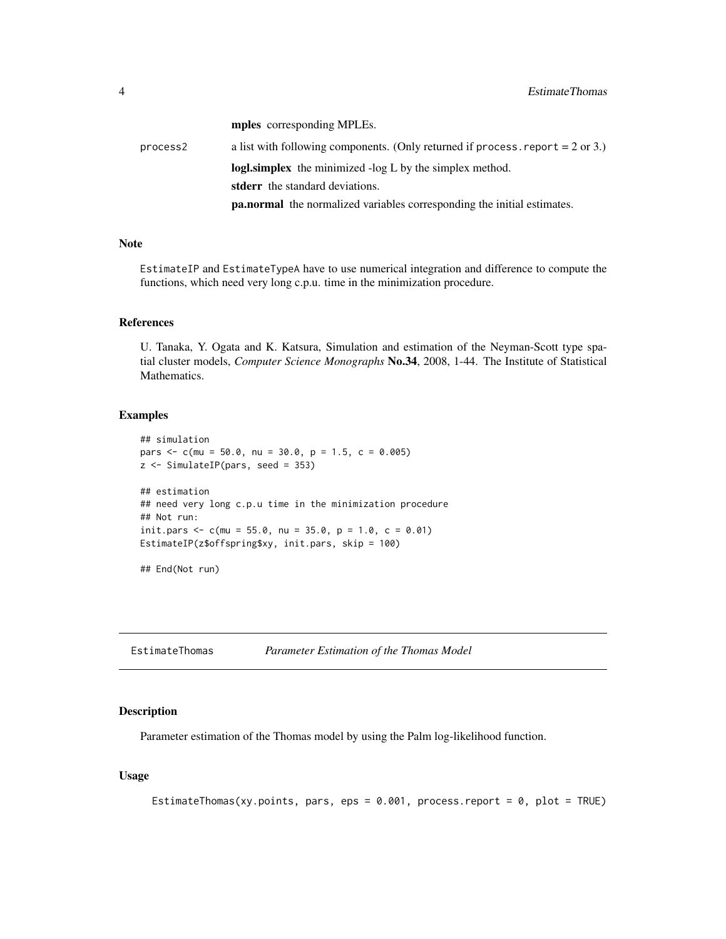mples corresponding MPLEs.

<span id="page-3-0"></span>process2 a list with following components. (Only returned if process.report = 2 or 3.) logl.simplex the minimized -log L by the simplex method. stderr the standard deviations. pa.normal the normalized variables corresponding the initial estimates.

#### Note

EstimateIP and EstimateTypeA have to use numerical integration and difference to compute the functions, which need very long c.p.u. time in the minimization procedure.

#### References

U. Tanaka, Y. Ogata and K. Katsura, Simulation and estimation of the Neyman-Scott type spatial cluster models, *Computer Science Monographs* No.34, 2008, 1-44. The Institute of Statistical Mathematics.

#### Examples

```
## simulation
pars \leq c(mu = 50.0, nu = 30.0, p = 1.5, c = 0.005)
z <- SimulateIP(pars, seed = 353)
## estimation
## need very long c.p.u time in the minimization procedure
## Not run:
init.pars <- c(mu = 55.0, nu = 35.0, p = 1.0, c = 0.01)
EstimateIP(z$offspring$xy, init.pars, skip = 100)
```
## End(Not run)

<span id="page-3-1"></span>EstimateThomas *Parameter Estimation of the Thomas Model*

# Description

Parameter estimation of the Thomas model by using the Palm log-likelihood function.

#### Usage

```
EstimateThomas(xy.points, pars, eps = 0.001, process.report = 0, plot = TRUE)
```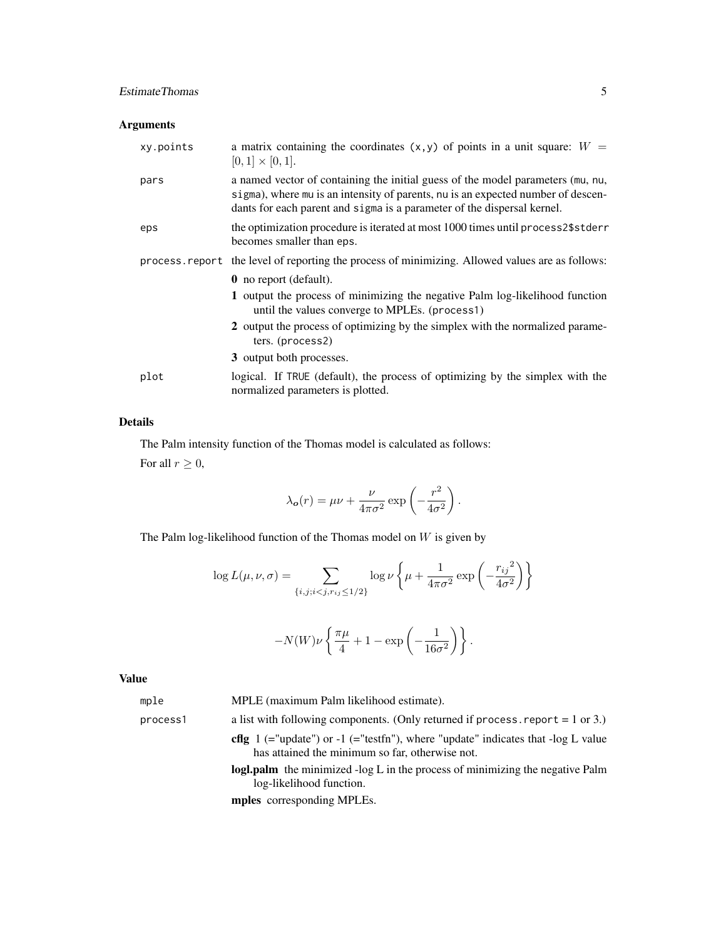# EstimateThomas 5

# Arguments

| xy.points | a matrix containing the coordinates $(x, y)$ of points in a unit square: $W =$<br>$[0,1] \times [0,1].$                                                                                                                                        |
|-----------|------------------------------------------------------------------------------------------------------------------------------------------------------------------------------------------------------------------------------------------------|
| pars      | a named vector of containing the initial guess of the model parameters (mu, nu,<br>sigma), where mu is an intensity of parents, nu is an expected number of descen-<br>dants for each parent and sigma is a parameter of the dispersal kernel. |
| eps       | the optimization procedure is iterated at most 1000 times until process2\$stderr<br>becomes smaller than eps.                                                                                                                                  |
|           | process. report the level of reporting the process of minimizing. Allowed values are as follows:                                                                                                                                               |
|           | <b>0</b> no report (default).                                                                                                                                                                                                                  |
|           | 1 output the process of minimizing the negative Palm log-likelihood function<br>until the values converge to MPLEs. (process1)                                                                                                                 |
|           | 2 output the process of optimizing by the simplex with the normalized parame-<br>ters. (process2)                                                                                                                                              |
|           | 3 output both processes.                                                                                                                                                                                                                       |
| plot      | logical. If TRUE (default), the process of optimizing by the simplex with the<br>normalized parameters is plotted.                                                                                                                             |

# Details

The Palm intensity function of the Thomas model is calculated as follows:

For all  $r \geq 0$ ,

$$
\lambda_{\mathbf{o}}(r) = \mu \nu + \frac{\nu}{4\pi\sigma^2} \exp\left(-\frac{r^2}{4\sigma^2}\right).
$$

The Palm log-likelihood function of the Thomas model on  $\boldsymbol{W}$  is given by

$$
\log L(\mu, \nu, \sigma) = \sum_{\{i, j; i < j, r_{ij} \le 1/2\}} \log \nu \left\{ \mu + \frac{1}{4\pi\sigma^2} \exp \left( -\frac{r_{ij}^2}{4\sigma^2} \right) \right\}
$$

$$
-N(W)\nu\left\{\frac{\pi\mu}{4}+1-\exp\left(-\frac{1}{16\sigma^2}\right)\right\}.
$$

# Value

| mple     | MPLE (maximum Palm likelihood estimate).                                                                                                   |
|----------|--------------------------------------------------------------------------------------------------------------------------------------------|
| process1 | a list with following components. (Only returned if process, report $= 1$ or 3.)                                                           |
|          | <b>cflg</b> 1 (="update") or -1 (="testfn"), where "update" indicates that -log L value<br>has attained the minimum so far, otherwise not. |
|          | logl.palm the minimized -log L in the process of minimizing the negative Palm<br>log-likelihood function.                                  |
|          | <b>mples</b> corresponding MPLEs.                                                                                                          |
|          |                                                                                                                                            |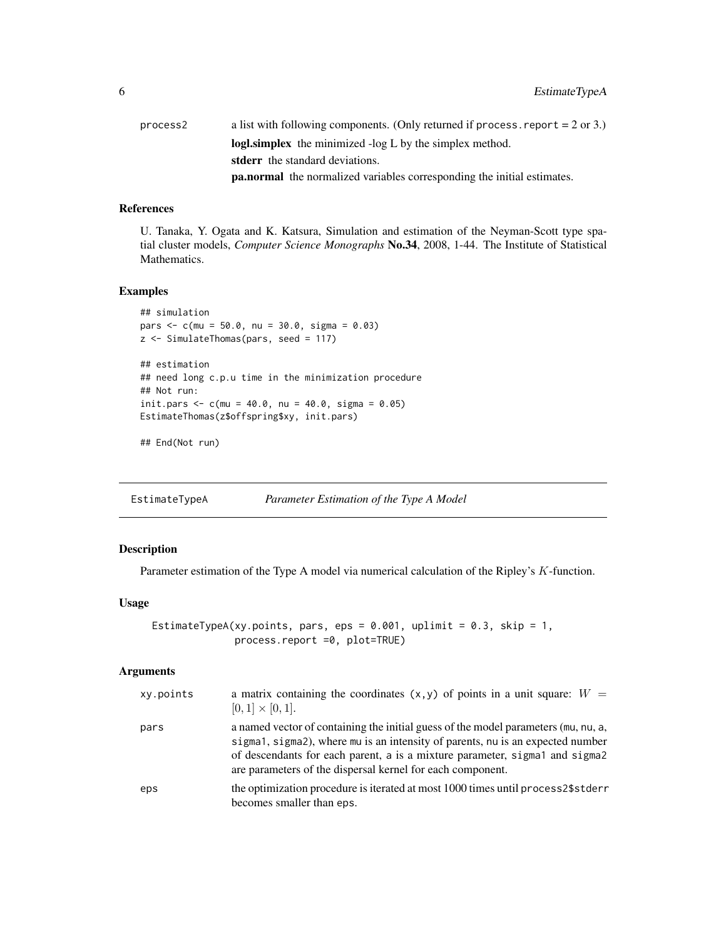<span id="page-5-0"></span>

| process2 | a list with following components. (Only returned if process, report $= 2$ or 3.) |
|----------|----------------------------------------------------------------------------------|
|          | logl.simplex the minimized -log L by the simplex method.                         |
|          | <b>stderr</b> the standard deviations.                                           |
|          | <b>pa.normal</b> the normalized variables corresponding the initial estimates.   |

# References

U. Tanaka, Y. Ogata and K. Katsura, Simulation and estimation of the Neyman-Scott type spatial cluster models, *Computer Science Monographs* No.34, 2008, 1-44. The Institute of Statistical Mathematics.

#### Examples

```
## simulation
pars <- c(mu = 50.0, nu = 30.0, sigma = 0.03)
z <- SimulateThomas(pars, seed = 117)
## estimation
## need long c.p.u time in the minimization procedure
## Not run:
init.pars <-c(mu = 40.0, nu = 40.0, sigma = 0.05)
EstimateThomas(z$offspring$xy, init.pars)
```

```
## End(Not run)
```
<span id="page-5-1"></span>EstimateTypeA *Parameter Estimation of the Type A Model*

# Description

Parameter estimation of the Type A model via numerical calculation of the Ripley's K-function.

#### Usage

```
EstimateTypeA(xy.points, pars, eps = 0.001, uplimit = 0.3, skip = 1,
              process.report =0, plot=TRUE)
```
# Arguments

| xy.points | a matrix containing the coordinates $(x, y)$ of points in a unit square: $W =$<br>$[0,1] \times [0,1].$                                                                                                                                                                                                           |
|-----------|-------------------------------------------------------------------------------------------------------------------------------------------------------------------------------------------------------------------------------------------------------------------------------------------------------------------|
| pars      | a named vector of containing the initial guess of the model parameters (mu, nu, a,<br>sigma1, sigma2), where mu is an intensity of parents, nu is an expected number<br>of descendants for each parent, a is a mixture parameter, sigmal and sigmal<br>are parameters of the dispersal kernel for each component. |
| eps       | the optimization procedure is iterated at most 1000 times until process2\$stderr<br>becomes smaller than eps.                                                                                                                                                                                                     |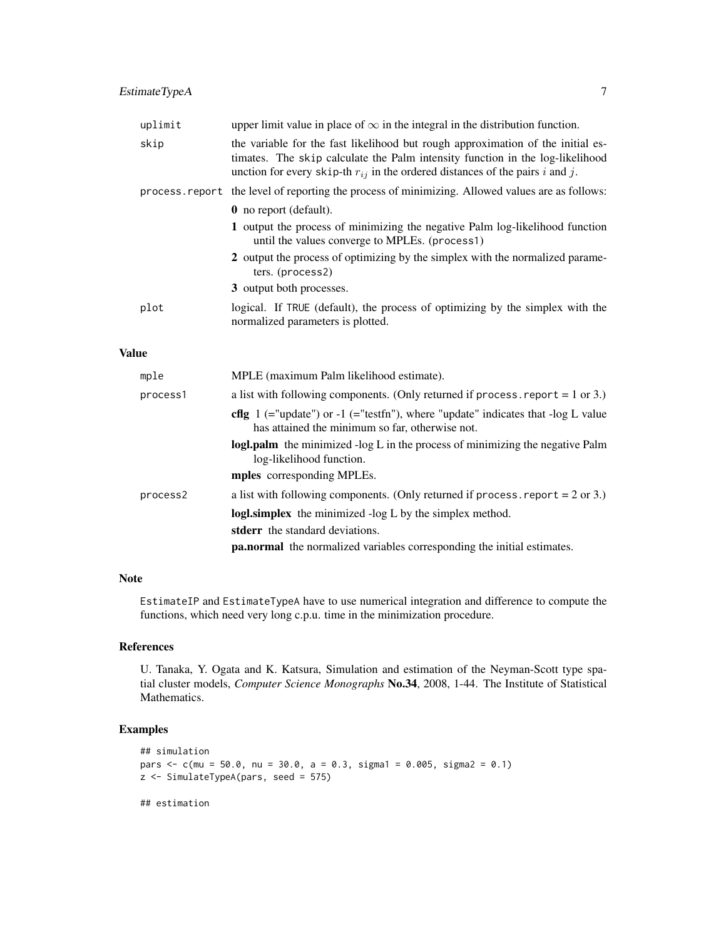|              | uplimit  | upper limit value in place of $\infty$ in the integral in the distribution function.                                                                                                                                                                  |
|--------------|----------|-------------------------------------------------------------------------------------------------------------------------------------------------------------------------------------------------------------------------------------------------------|
|              | skip     | the variable for the fast likelihood but rough approximation of the initial es-<br>timates. The skip calculate the Palm intensity function in the log-likelihood<br>unction for every skip-th $r_{ij}$ in the ordered distances of the pairs i and j. |
|              |          | process. report the level of reporting the process of minimizing. Allowed values are as follows:                                                                                                                                                      |
|              |          | 0 no report (default).                                                                                                                                                                                                                                |
|              |          | 1 output the process of minimizing the negative Palm log-likelihood function<br>until the values converge to MPLEs. (process1)                                                                                                                        |
|              |          | 2 output the process of optimizing by the simplex with the normalized parame-<br>ters. (process2)                                                                                                                                                     |
|              |          | 3 output both processes.                                                                                                                                                                                                                              |
|              | plot     | logical. If TRUE (default), the process of optimizing by the simplex with the<br>normalized parameters is plotted.                                                                                                                                    |
| <b>Value</b> |          |                                                                                                                                                                                                                                                       |
|              | mple     | MPLE (maximum Palm likelihood estimate).                                                                                                                                                                                                              |
|              | process1 | a list with following components. (Only returned if process report $= 1$ or 3.)                                                                                                                                                                       |

has attained the minimum so far, otherwise not.

process2 a list with following components. (Only returned if process. report  $= 2$  or 3.) logl.simplex the minimized -log L by the simplex method.

log-likelihood function. mples corresponding MPLEs.

stderr the standard deviations.

cflg  $1$  (="update") or  $-1$  (="testfn"), where "update" indicates that  $-\log L$  value

logl.palm the minimized -log L in the process of minimizing the negative Palm

pa.normal the normalized variables corresponding the initial estimates.

#### Note

EstimateIP and EstimateTypeA have to use numerical integration and difference to compute the functions, which need very long c.p.u. time in the minimization procedure.

#### References

U. Tanaka, Y. Ogata and K. Katsura, Simulation and estimation of the Neyman-Scott type spatial cluster models, *Computer Science Monographs* No.34, 2008, 1-44. The Institute of Statistical Mathematics.

# Examples

```
## simulation
pars <- c(mu = 50.0, nu = 30.0, a = 0.3, sigma1 = 0.005, sigma2 = 0.1)
z <- SimulateTypeA(pars, seed = 575)
## estimation
```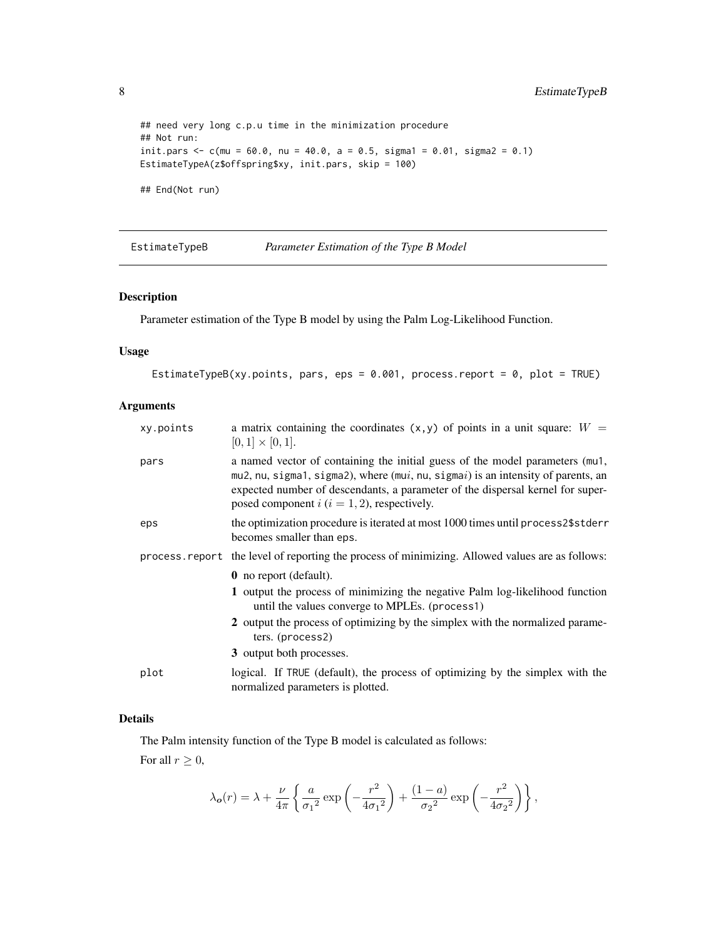```
## need very long c.p.u time in the minimization procedure
## Not run:
init.pars <- c(mu = 60.0, nu = 40.0, a = 0.5, sigma1 = 0.01, sigma2 = 0.1)
EstimateTypeA(z$offspring$xy, init.pars, skip = 100)
## End(Not run)
```
<span id="page-7-1"></span>EstimateTypeB *Parameter Estimation of the Type B Model*

#### Description

Parameter estimation of the Type B model by using the Palm Log-Likelihood Function.

# Usage

```
EstimateTypeB(xy.points, pars, eps = 0.001, process.report = 0, plot = TRUE)
```
# Arguments

| xy.points | a matrix containing the coordinates $(x, y)$ of points in a unit square: $W =$<br>$[0,1] \times [0,1].$                                                                                                                                                                                                            |
|-----------|--------------------------------------------------------------------------------------------------------------------------------------------------------------------------------------------------------------------------------------------------------------------------------------------------------------------|
| pars      | a named vector of containing the initial guess of the model parameters (mu1,<br>$mu2$ , nu, sigma1, sigma2), where ( $mui$ , nu, sigma $i$ ) is an intensity of parents, an<br>expected number of descendants, a parameter of the dispersal kernel for super-<br>posed component $i$ ( $i = 1, 2$ ), respectively. |
| eps       | the optimization procedure is iterated at most 1000 times until process2\$stderr<br>becomes smaller than eps.                                                                                                                                                                                                      |
|           | process report the level of reporting the process of minimizing. Allowed values are as follows:                                                                                                                                                                                                                    |
|           | <b>0</b> no report (default).                                                                                                                                                                                                                                                                                      |
|           | 1 output the process of minimizing the negative Palm log-likelihood function<br>until the values converge to MPLEs. (process1)                                                                                                                                                                                     |
|           | 2 output the process of optimizing by the simplex with the normalized parame-<br>ters. (process2)                                                                                                                                                                                                                  |
|           | 3 output both processes.                                                                                                                                                                                                                                                                                           |
| plot      | logical. If TRUE (default), the process of optimizing by the simplex with the<br>normalized parameters is plotted.                                                                                                                                                                                                 |

#### Details

The Palm intensity function of the Type B model is calculated as follows:

For all  $r \geq 0$ ,

$$
\lambda_{\rm o}(r) = \lambda + \frac{\nu}{4\pi} \left\{ \frac{a}{\sigma_1{}^2} \exp\left(-\frac{r^2}{4\sigma_1{}^2}\right) + \frac{(1-a)}{\sigma_2{}^2} \exp\left(-\frac{r^2}{4\sigma_2{}^2}\right) \right\},
$$

<span id="page-7-0"></span>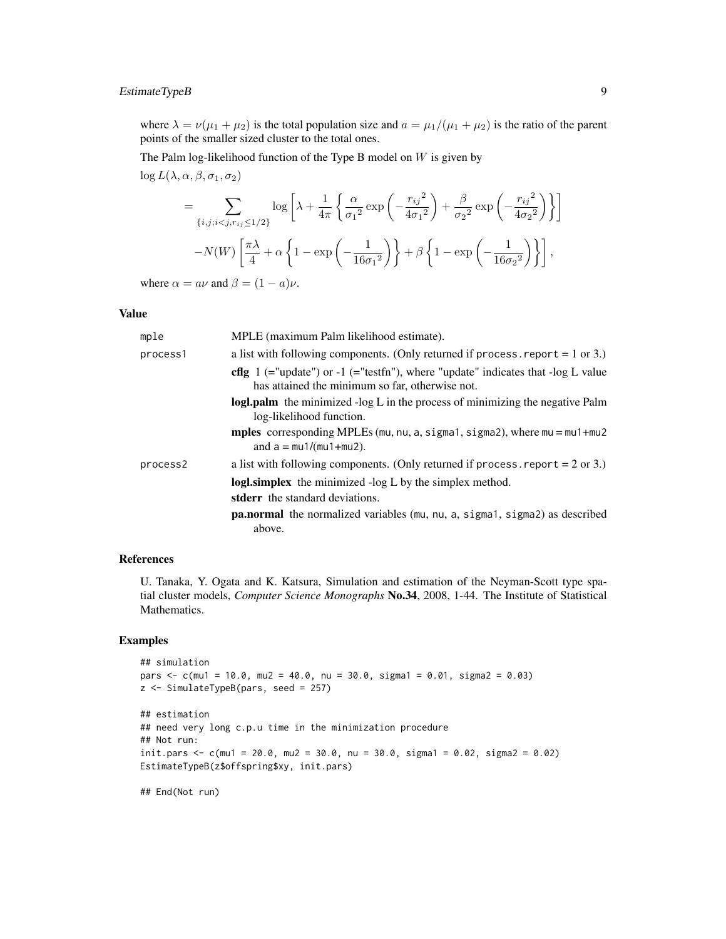# EstimateTypeB 9

where  $\lambda = \nu(\mu_1 + \mu_2)$  is the total population size and  $a = \mu_1/(\mu_1 + \mu_2)$  is the ratio of the parent points of the smaller sized cluster to the total ones.

The Palm log-likelihood function of the Type B model on  $W$  is given by  $\log L(\lambda, \alpha, \beta, \sigma_1, \sigma_2)$ 

$$
= \sum_{\{i,j;i
$$
-N(W)\left[\frac{\pi\lambda}{4} + \alpha \left\{1 - \exp\left(-\frac{1}{16\sigma_1^2}\right)\right\} + \beta \left\{1 - \exp\left(-\frac{1}{16\sigma_2^2}\right)\right\}\right],
$$
$$

where  $\alpha = a\nu$  and  $\beta = (1 - a)\nu$ .

#### Value

| mple     | MPLE (maximum Palm likelihood estimate).                                                                                                          |
|----------|---------------------------------------------------------------------------------------------------------------------------------------------------|
| process1 | a list with following components. (Only returned if process report $= 1$ or 3.)                                                                   |
|          | <b>cflg</b> $1$ (="update") or $-1$ (="testfn"), where "update" indicates that $-\log L$ value<br>has attained the minimum so far, otherwise not. |
|          | logl.palm the minimized -log L in the process of minimizing the negative Palm<br>log-likelihood function.                                         |
|          | mples corresponding MPLEs (mu, nu, a, sigma1, sigma2), where $mu = mu1 + mu2$<br>and $a = \frac{mu1}{mu1 + mu2}$ .                                |
| process2 | a list with following components. (Only returned if process report $= 2$ or 3.)                                                                   |
|          | <b>logl.simplex</b> the minimized -log L by the simplex method.                                                                                   |
|          | <b>stderr</b> the standard deviations.                                                                                                            |
|          | <b>pa.normal</b> the normalized variables (mu, nu, a, sigma1, sigma2) as described<br>above.                                                      |

# References

U. Tanaka, Y. Ogata and K. Katsura, Simulation and estimation of the Neyman-Scott type spatial cluster models, *Computer Science Monographs* No.34, 2008, 1-44. The Institute of Statistical Mathematics.

#### Examples

```
## simulation
pars <- c(mu1 = 10.0, mu2 = 40.0, nu = 30.0, sigma1 = 0.01, sigma2 = 0.03)
z <- SimulateTypeB(pars, seed = 257)
## estimation
## need very long c.p.u time in the minimization procedure
## Not run:
init.pars <- c(mu1 = 20.0, mu2 = 30.0, nu = 30.0, sigma1 = 0.02, sigma2 = 0.02)
EstimateTypeB(z$offspring$xy, init.pars)
```
## End(Not run)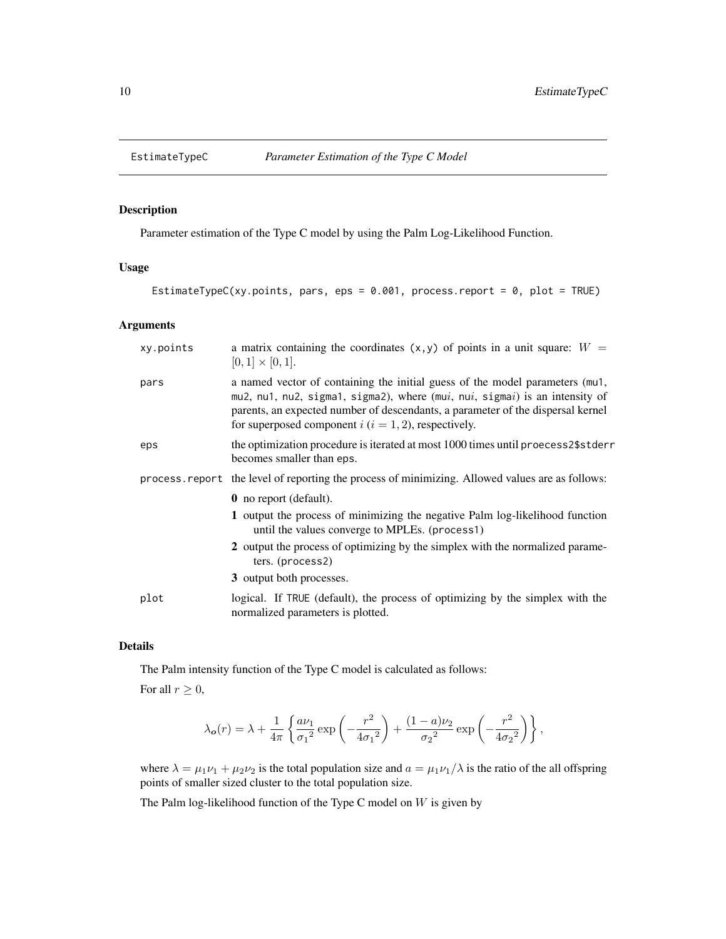<span id="page-9-1"></span><span id="page-9-0"></span>

# Description

Parameter estimation of the Type C model by using the Palm Log-Likelihood Function.

# Usage

```
EstimateTypeC(xy.points, pars, eps = 0.001, process.report = 0, plot = TRUE)
```
#### Arguments

| xy.points | a matrix containing the coordinates $(x, y)$ of points in a unit square: $W =$<br>$[0,1] \times [0,1].$                                                                                                                                                                                                      |
|-----------|--------------------------------------------------------------------------------------------------------------------------------------------------------------------------------------------------------------------------------------------------------------------------------------------------------------|
| pars      | a named vector of containing the initial guess of the model parameters (mu1,<br>mu2, nu1, nu2, sigma1, sigma2), where (mui, nui, sigmai) is an intensity of<br>parents, an expected number of descendants, a parameter of the dispersal kernel<br>for superposed component $i$ ( $i = 1, 2$ ), respectively. |
| eps       | the optimization procedure is iterated at most 1000 times until proecess2\$stderr<br>becomes smaller than eps.                                                                                                                                                                                               |
|           | process. report the level of reporting the process of minimizing. Allowed values are as follows:                                                                                                                                                                                                             |
|           | <b>0</b> no report (default).                                                                                                                                                                                                                                                                                |
|           | 1 output the process of minimizing the negative Palm log-likelihood function<br>until the values converge to MPLEs. (process1)                                                                                                                                                                               |
|           | 2 output the process of optimizing by the simplex with the normalized parame-<br>ters. (process2)                                                                                                                                                                                                            |
|           | 3 output both processes.                                                                                                                                                                                                                                                                                     |
| plot      | logical. If TRUE (default), the process of optimizing by the simplex with the<br>normalized parameters is plotted.                                                                                                                                                                                           |

# Details

The Palm intensity function of the Type C model is calculated as follows:

For all  $r \geq 0$ ,

$$
\lambda_{\mathbf{o}}(r) = \lambda + \frac{1}{4\pi} \left\{ \frac{a\nu_1}{\sigma_1{}^2} \exp\left(-\frac{r^2}{4\sigma_1{}^2}\right) + \frac{(1-a)\nu_2}{\sigma_2{}^2} \exp\left(-\frac{r^2}{4\sigma_2{}^2}\right) \right\},
$$

where  $\lambda = \mu_1 \nu_1 + \mu_2 \nu_2$  is the total population size and  $a = \mu_1 \nu_1 / \lambda$  is the ratio of the all offspring points of smaller sized cluster to the total population size.

The Palm log-likelihood function of the Type C model on  $W$  is given by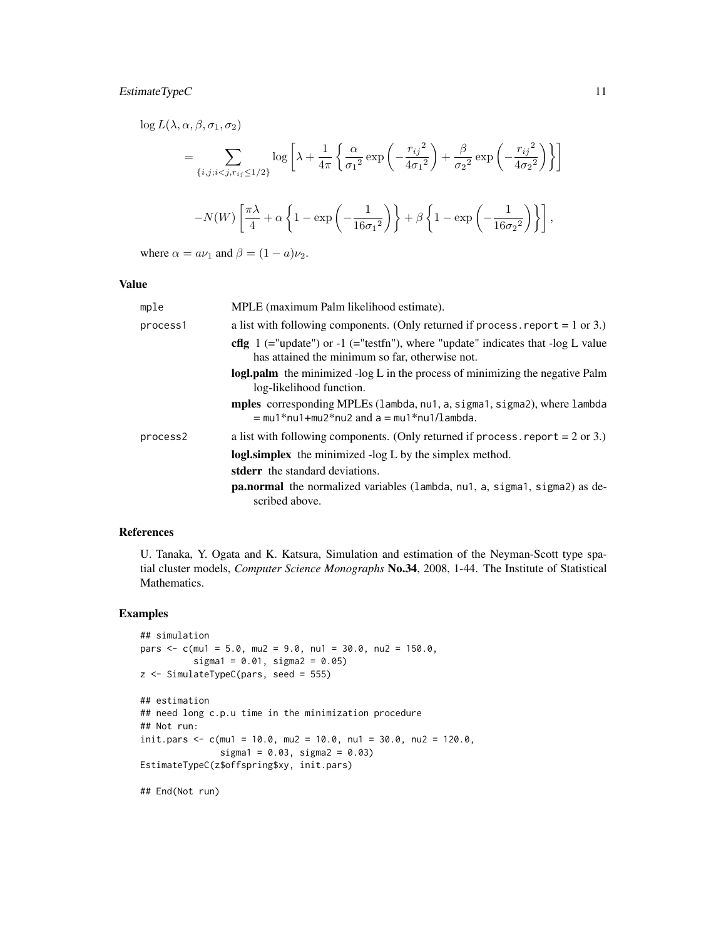# EstimateTypeC 11

$$
\log L(\lambda, \alpha, \beta, \sigma_1, \sigma_2)
$$
\n
$$
= \sum_{\{i, j; i < j, r_{ij} \le 1/2\}} \log \left[ \lambda + \frac{1}{4\pi} \left\{ \frac{\alpha}{\sigma_1^2} \exp\left( -\frac{r_{ij}^2}{4\sigma_1^2} \right) + \frac{\beta}{\sigma_2^2} \exp\left( -\frac{r_{ij}^2}{4\sigma_2^2} \right) \right\} \right]
$$
\n
$$
-N(W) \left[ \frac{\pi \lambda}{4} + \alpha \left\{ 1 - \exp\left( -\frac{1}{16\sigma_1^2} \right) \right\} + \beta \left\{ 1 - \exp\left( -\frac{1}{16\sigma_2^2} \right) \right\} \right],
$$

where  $\alpha = a\nu_1$  and  $\beta = (1 - a)\nu_2$ .

#### Value

| mple     | MPLE (maximum Palm likelihood estimate).                                                                                                     |
|----------|----------------------------------------------------------------------------------------------------------------------------------------------|
| process1 | a list with following components. (Only returned if process report $= 1$ or 3.)                                                              |
|          | <b>cflg</b> $1$ (="update") or -1 (="testfn"), where "update" indicates that -log L value<br>has attained the minimum so far, otherwise not. |
|          | logl.palm the minimized -log L in the process of minimizing the negative Palm<br>log-likelihood function.                                    |
|          | mples corresponding MPLEs (lambda, nu1, a, sigma1, sigma2), where lambda<br>$=$ mu1*nu1+mu2*nu2 and a $=$ mu1*nu1/lambda.                    |
| process2 | a list with following components. (Only returned if process report $= 2$ or 3.)                                                              |
|          | logl.simplex the minimized -log L by the simplex method.                                                                                     |
|          | stderr the standard deviations.                                                                                                              |
|          | pa.normal the normalized variables (lambda, nu1, a, sigma1, sigma2) as de-<br>scribed above.                                                 |

#### References

U. Tanaka, Y. Ogata and K. Katsura, Simulation and estimation of the Neyman-Scott type spatial cluster models, *Computer Science Monographs* No.34, 2008, 1-44. The Institute of Statistical Mathematics.

# Examples

```
## simulation
pars \leq c(mu1 = 5.0, mu2 = 9.0, nu1 = 30.0, nu2 = 150.0,
          sigma1 = 0.01, sigma2 = 0.05)
z <- SimulateTypeC(pars, seed = 555)
```

```
## estimation
## need long c.p.u time in the minimization procedure
## Not run:
init.pars <- c(mu1 = 10.0, mu2 = 10.0, nu1 = 30.0, nu2 = 120.0,
               sigma1 = 0.03, sigma2 = 0.03)
EstimateTypeC(z$offspring$xy, init.pars)
```
## End(Not run)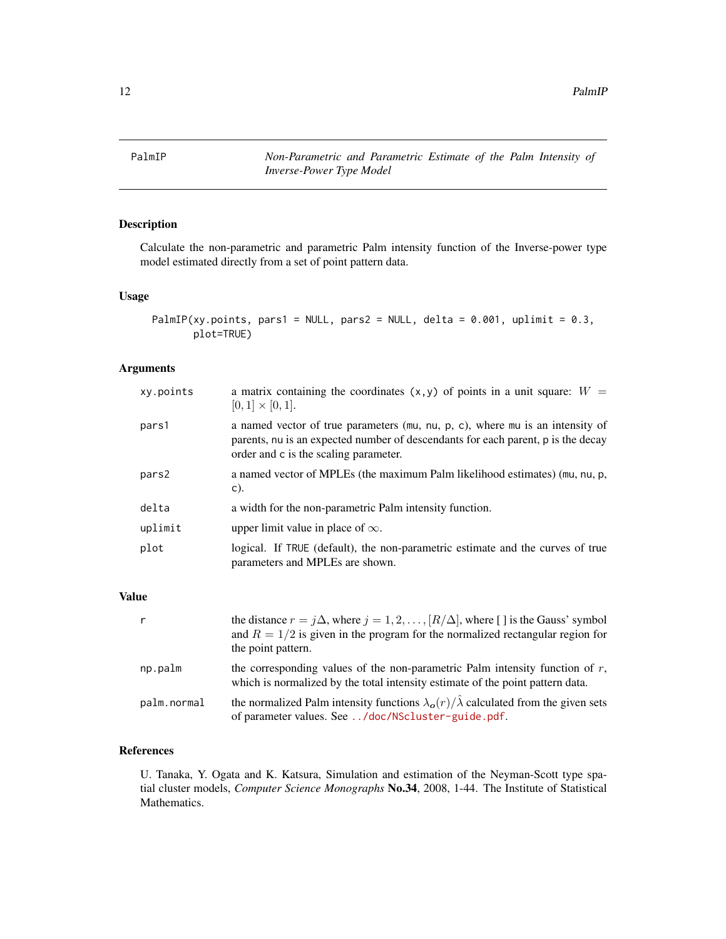<span id="page-11-1"></span><span id="page-11-0"></span>PalmIP *Non-Parametric and Parametric Estimate of the Palm Intensity of Inverse-Power Type Model*

# Description

Calculate the non-parametric and parametric Palm intensity function of the Inverse-power type model estimated directly from a set of point pattern data.

#### Usage

```
PalmIP(xy.points, pars1 = NULL, pars2 = NULL, delta = 0.001, uplimit = 0.3,
       plot=TRUE)
```
# Arguments

| xy.points | a matrix containing the coordinates $(x, y)$ of points in a unit square: $W =$<br>$[0,1] \times [0,1].$                                                                                                    |
|-----------|------------------------------------------------------------------------------------------------------------------------------------------------------------------------------------------------------------|
| pars1     | a named vector of true parameters (mu, nu, p, c), where mu is an intensity of<br>parents, nu is an expected number of descendants for each parent, p is the decay<br>order and c is the scaling parameter. |
| pars2     | a named vector of MPLEs (the maximum Palm likelihood estimates) (mu, nu, p,<br>$\mathsf{C}$ ).                                                                                                             |
| delta     | a width for the non-parametric Palm intensity function.                                                                                                                                                    |
| uplimit   | upper limit value in place of $\infty$ .                                                                                                                                                                   |
| plot      | logical. If TRUE (default), the non-parametric estimate and the curves of true<br>parameters and MPLEs are shown.                                                                                          |

# Value

| r           | the distance $r = j\Delta$ , where $j = 1, 2, , [R/\Delta]$ , where [] is the Gauss' symbol<br>and $R = 1/2$ is given in the program for the normalized rectangular region for<br>the point pattern. |
|-------------|------------------------------------------------------------------------------------------------------------------------------------------------------------------------------------------------------|
| np.palm     | the corresponding values of the non-parametric Palm intensity function of $r$ ,<br>which is normalized by the total intensity estimate of the point pattern data.                                    |
| palm.normal | the normalized Palm intensity functions $\lambda_o(r)/\hat{\lambda}$ calculated from the given sets<br>of parameter values. See /doc/NScluster-guide.pdf.                                            |

# References

U. Tanaka, Y. Ogata and K. Katsura, Simulation and estimation of the Neyman-Scott type spatial cluster models, *Computer Science Monographs* No.34, 2008, 1-44. The Institute of Statistical Mathematics.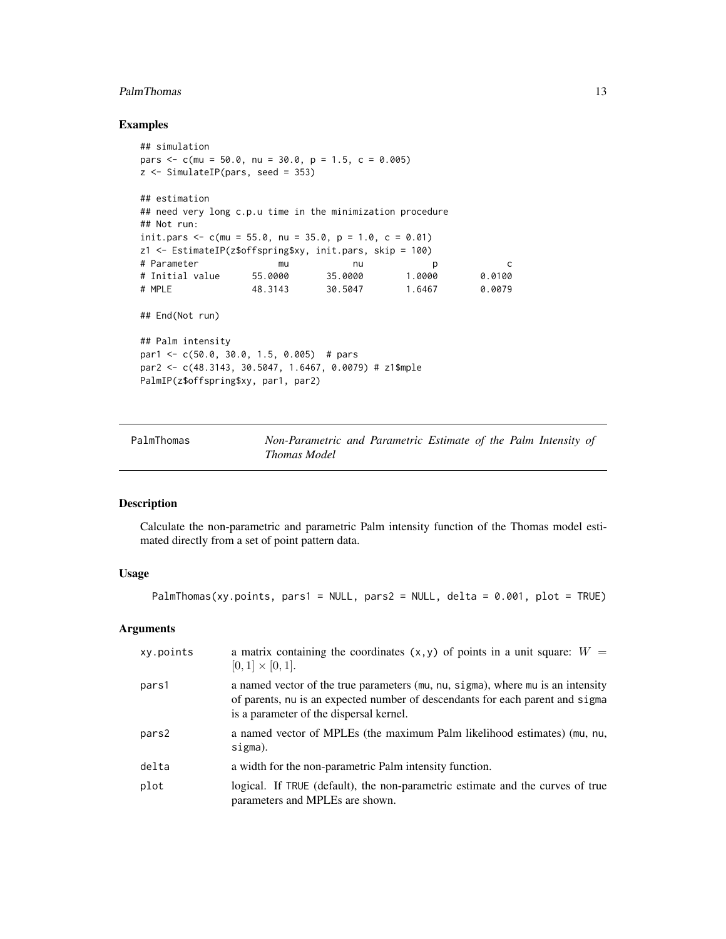#### <span id="page-12-0"></span>PalmThomas 13

# Examples

```
## simulation
pars \leq c(mu = 50.0, nu = 30.0, p = 1.5, c = 0.005)
z <- SimulateIP(pars, seed = 353)
## estimation
## need very long c.p.u time in the minimization procedure
## Not run:
init.pars \leq c(mu = 55.0, nu = 35.0, p = 1.0, c = 0.01)
z1 <- EstimateIP(z$offspring$xy, init.pars, skip = 100)
# Parameter mu nu p c
# Initial value 55.0000 35.0000 1.0000 0.0100
# MPLE 48.3143 30.5047 1.6467 0.0079
## End(Not run)
## Palm intensity
par1 <- c(50.0, 30.0, 1.5, 0.005) # pars
par2 <- c(48.3143, 30.5047, 1.6467, 0.0079) # z1$mple
PalmIP(z$offspring$xy, par1, par2)
```
<span id="page-12-1"></span>PalmThomas *Non-Parametric and Parametric Estimate of the Palm Intensity of Thomas Model*

#### Description

Calculate the non-parametric and parametric Palm intensity function of the Thomas model estimated directly from a set of point pattern data.

# Usage

```
PalmThomas(xy.points, pars1 = NULL, pars2 = NULL, delta = 0.001, plot = TRUE)
```
#### Arguments

| xy.points | a matrix containing the coordinates $(x, y)$ of points in a unit square: $W =$<br>$[0,1] \times [0,1].$                                                                                                     |
|-----------|-------------------------------------------------------------------------------------------------------------------------------------------------------------------------------------------------------------|
| pars1     | a named vector of the true parameters (mu, nu, sigma), where mu is an intensity<br>of parents, nu is an expected number of descendants for each parent and sigma<br>is a parameter of the dispersal kernel. |
| pars2     | a named vector of MPLEs (the maximum Palm likelihood estimates) (mu, nu,<br>sigma).                                                                                                                         |
| delta     | a width for the non-parametric Palm intensity function.                                                                                                                                                     |
| plot      | logical. If TRUE (default), the non-parametric estimate and the curves of true<br>parameters and MPLEs are shown.                                                                                           |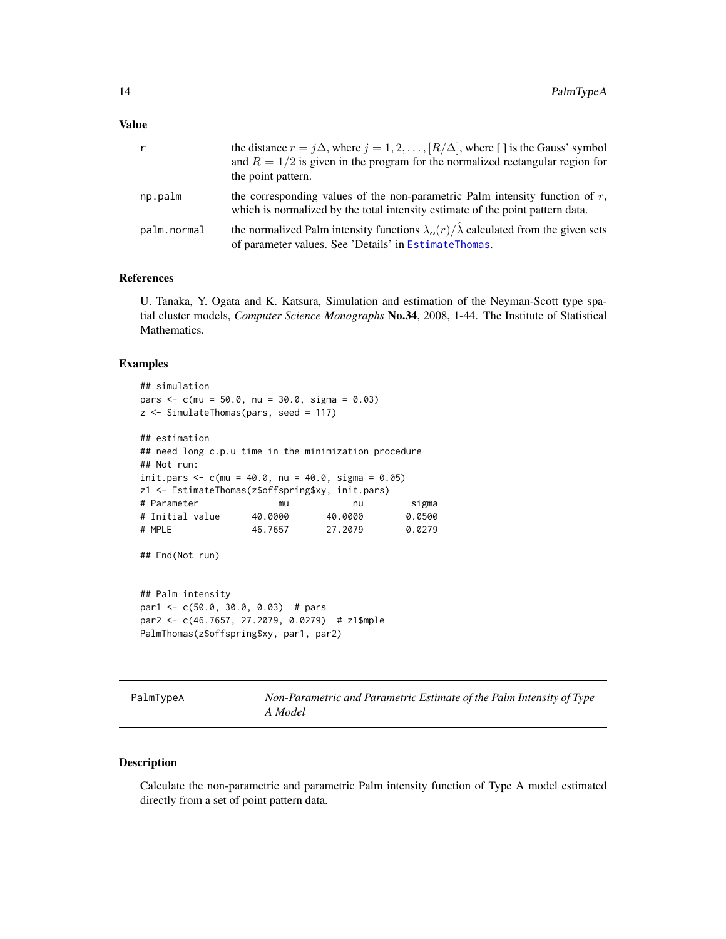<span id="page-13-0"></span>

| $\mathsf{r}$ | the distance $r = j\Delta$ , where $j = 1, 2, , [R/\Delta]$ , where [] is the Gauss' symbol<br>and $R = 1/2$ is given in the program for the normalized rectangular region for<br>the point pattern. |
|--------------|------------------------------------------------------------------------------------------------------------------------------------------------------------------------------------------------------|
| np.palm      | the corresponding values of the non-parametric Palm intensity function of $r$ ,<br>which is normalized by the total intensity estimate of the point pattern data.                                    |
| palm.normal  | the normalized Palm intensity functions $\lambda_o(r)/\hat{\lambda}$ calculated from the given sets<br>of parameter values. See 'Details' in EstimateThomas.                                         |

#### References

U. Tanaka, Y. Ogata and K. Katsura, Simulation and estimation of the Neyman-Scott type spatial cluster models, *Computer Science Monographs* No.34, 2008, 1-44. The Institute of Statistical Mathematics.

#### Examples

```
## simulation
pars <- c(mu = 50.0, nu = 30.0, sigma = 0.03)
z <- SimulateThomas(pars, seed = 117)
## estimation
## need long c.p.u time in the minimization procedure
## Not run:
init.pars <-c(mu = 40.0, nu = 40.0, sigma = 0.05)
z1 <- EstimateThomas(z$offspring$xy, init.pars)
# Parameter mu nu sigma
# Initial value 40.0000 40.0000 0.0500
# MPLE 46.7657 27.2079 0.0279
## End(Not run)
## Palm intensity
par1 <- c(50.0, 30.0, 0.03) # pars
par2 <- c(46.7657, 27.2079, 0.0279) # z1$mple
PalmThomas(z$offspring$xy, par1, par2)
```
<span id="page-13-1"></span>PalmTypeA *Non-Parametric and Parametric Estimate of the Palm Intensity of Type A Model*

# Description

Calculate the non-parametric and parametric Palm intensity function of Type A model estimated directly from a set of point pattern data.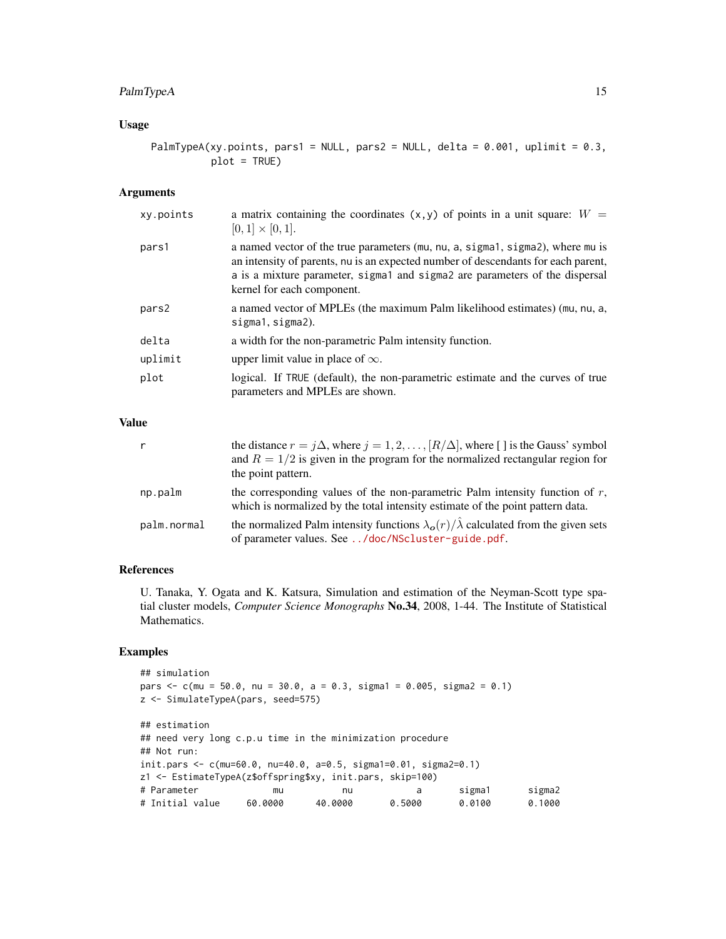# PalmTypeA 15

# Usage

PalmTypeA(xy.points, pars1 = NULL, pars2 = NULL, delta =  $0.001$ , uplimit =  $0.3$ , plot = TRUE)

# Arguments

| xy.points | a matrix containing the coordinates $(x, y)$ of points in a unit square: $W =$<br>$[0,1] \times [0,1].$                                                                                                                                                                          |
|-----------|----------------------------------------------------------------------------------------------------------------------------------------------------------------------------------------------------------------------------------------------------------------------------------|
| pars1     | a named vector of the true parameters (mu, nu, a, sigma1, sigma2), where mu is<br>an intensity of parents, nu is an expected number of descendants for each parent,<br>a is a mixture parameter, sigmal and sigmal are parameters of the dispersal<br>kernel for each component. |
| pars2     | a named vector of MPLEs (the maximum Palm likelihood estimates) (mu, nu, a,<br>sigmal, sigmal).                                                                                                                                                                                  |
| delta     | a width for the non-parametric Palm intensity function.                                                                                                                                                                                                                          |
| uplimit   | upper limit value in place of $\infty$ .                                                                                                                                                                                                                                         |
| plot      | logical. If TRUE (default), the non-parametric estimate and the curves of true<br>parameters and MPLEs are shown.                                                                                                                                                                |

# Value

| r           | the distance $r = j\Delta$ , where $j = 1, 2, , [R/\Delta]$ , where [] is the Gauss' symbol<br>and $R = 1/2$ is given in the program for the normalized rectangular region for<br>the point pattern. |
|-------------|------------------------------------------------------------------------------------------------------------------------------------------------------------------------------------------------------|
| np.palm     | the corresponding values of the non-parametric Palm intensity function of $r$ ,<br>which is normalized by the total intensity estimate of the point pattern data.                                    |
| palm.normal | the normalized Palm intensity functions $\lambda_o(r)/\hat{\lambda}$ calculated from the given sets<br>of parameter values. See /doc/NScluster-guide.pdf.                                            |

#### References

U. Tanaka, Y. Ogata and K. Katsura, Simulation and estimation of the Neyman-Scott type spatial cluster models, *Computer Science Monographs* No.34, 2008, 1-44. The Institute of Statistical Mathematics.

# Examples

```
## simulation
pars \leq c(mu = 50.0, nu = 30.0, a = 0.3, sigma1 = 0.005, sigma2 = 0.1)
z <- SimulateTypeA(pars, seed=575)
## estimation
## need very long c.p.u time in the minimization procedure
## Not run:
init.pars <- c(mu=60.0, nu=40.0, a=0.5, sigma1=0.01, sigma2=0.1)
z1 <- EstimateTypeA(z$offspring$xy, init.pars, skip=100)
# Parameter mu nu a sigma1 sigma2
# Initial value 60.0000 40.0000 0.5000 0.0100 0.1000
```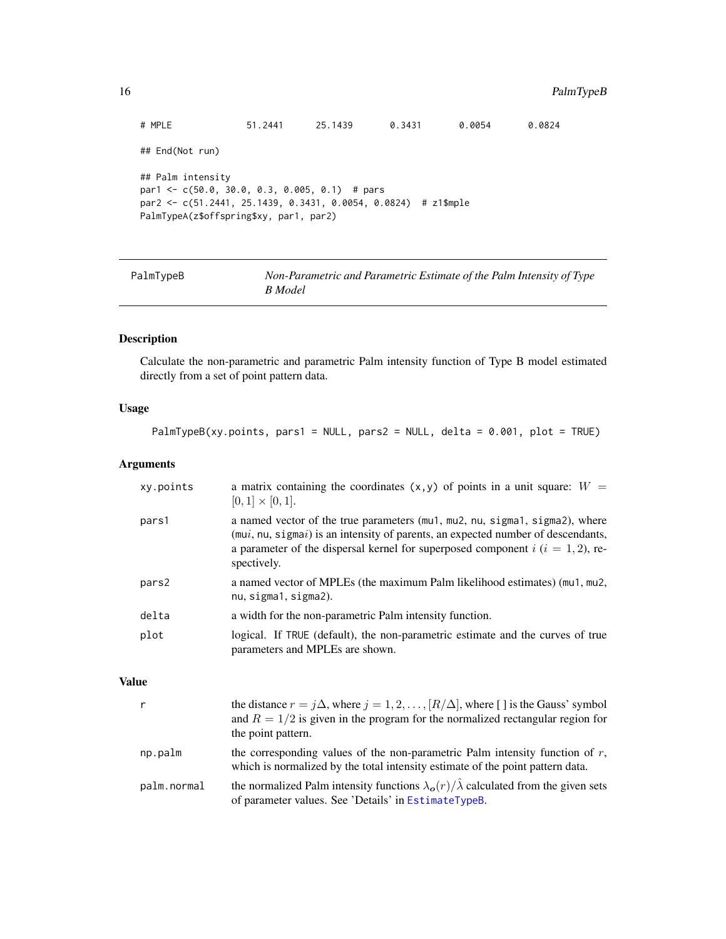```
# MPLE 51.2441 25.1439 0.3431 0.0054 0.0824
## End(Not run)
## Palm intensity
par1 <- c(50.0, 30.0, 0.3, 0.005, 0.1) # pars
par2 <- c(51.2441, 25.1439, 0.3431, 0.0054, 0.0824) # z1$mple
PalmTypeA(z$offspring$xy, par1, par2)
```
<span id="page-15-1"></span>

| PalmTypeB | Non-Parametric and Parametric Estimate of the Palm Intensity of Type |
|-----------|----------------------------------------------------------------------|
|           | B Model                                                              |

# Description

Calculate the non-parametric and parametric Palm intensity function of Type B model estimated directly from a set of point pattern data.

# Usage

```
PalmTypeB(xy.points, pars1 = NULL, pars2 = NULL, delta = 0.001, plot = TRUE)
```
#### Arguments

| xy.points | a matrix containing the coordinates $(x, y)$ of points in a unit square: $W =$<br>$[0,1] \times [0,1].$                                                                                                                                                                  |
|-----------|--------------------------------------------------------------------------------------------------------------------------------------------------------------------------------------------------------------------------------------------------------------------------|
| pars1     | a named vector of the true parameters (mu1, mu2, nu, sigma1, sigma2), where<br>$(mui, nu, sigmai)$ is an intensity of parents, an expected number of descendants,<br>a parameter of the dispersal kernel for superposed component $i$ ( $i = 1, 2$ ), re-<br>spectively. |
| pars2     | a named vector of MPLEs (the maximum Palm likelihood estimates) (mu1, mu2,<br>nu, sigma1, sigma2).                                                                                                                                                                       |
| delta     | a width for the non-parametric Palm intensity function.                                                                                                                                                                                                                  |
| plot      | logical. If TRUE (default), the non-parametric estimate and the curves of true<br>parameters and MPLEs are shown.                                                                                                                                                        |

#### Value

|             | the distance $r = j\Delta$ , where $j = 1, 2, , [R/\Delta]$ , where [] is the Gauss' symbol<br>and $R = 1/2$ is given in the program for the normalized rectangular region for<br>the point pattern. |
|-------------|------------------------------------------------------------------------------------------------------------------------------------------------------------------------------------------------------|
| np.palm     | the corresponding values of the non-parametric Palm intensity function of $r$ ,<br>which is normalized by the total intensity estimate of the point pattern data.                                    |
| palm.normal | the normalized Palm intensity functions $\lambda_0(r)/\hat{\lambda}$ calculated from the given sets<br>of parameter values. See 'Details' in EstimateTypeB.                                          |

<span id="page-15-0"></span>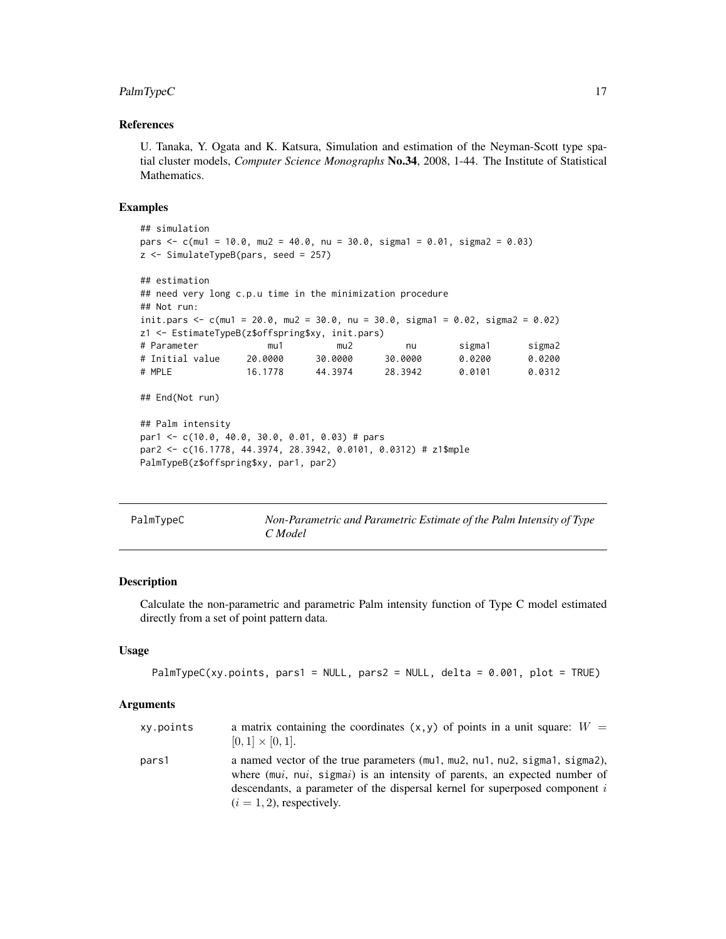# <span id="page-16-0"></span>PalmTypeC 17

#### References

U. Tanaka, Y. Ogata and K. Katsura, Simulation and estimation of the Neyman-Scott type spatial cluster models, *Computer Science Monographs* No.34, 2008, 1-44. The Institute of Statistical Mathematics.

#### Examples

```
## simulation
pars \leq c(mu1 = 10.0, mu2 = 40.0, nu = 30.0, sigma1 = 0.01, sigma2 = 0.03)
z <- SimulateTypeB(pars, seed = 257)
## estimation
## need very long c.p.u time in the minimization procedure
## Not run:
init.pars <- c(mu1 = 20.0, mu2 = 30.0, nu = 30.0, sigma1 = 0.02, sigma2 = 0.02)
z1 <- EstimateTypeB(z$offspring$xy, init.pars)
# Parameter mu1 mu2 nu sigma1 sigma2
# Initial value 20.0000 30.0000 30.0000 0.0200 0.0200
# MPLE 16.1778 44.3974 28.3942 0.0101 0.0312
## End(Not run)
## Palm intensity
par1 <- c(10.0, 40.0, 30.0, 0.01, 0.03) # pars
par2 <- c(16.1778, 44.3974, 28.3942, 0.0101, 0.0312) # z1$mple
PalmTypeB(z$offspring$xy, par1, par2)
```
<span id="page-16-1"></span>

| PalmTypeC | Non-Parametric and Parametric Estimate of the Palm Intensity of Type |
|-----------|----------------------------------------------------------------------|
|           | C Model                                                              |

#### Description

Calculate the non-parametric and parametric Palm intensity function of Type C model estimated directly from a set of point pattern data.

#### Usage

```
PalmTypeC(xy.points, pars1 = NULL, pars2 = NULL, delta = 0.001, plot = TRUE)
```
#### Arguments

| xy.points | a matrix containing the coordinates $(x, y)$ of points in a unit square: $W =$<br>$[0,1] \times [0,1].$                                                                                                                                                                    |
|-----------|----------------------------------------------------------------------------------------------------------------------------------------------------------------------------------------------------------------------------------------------------------------------------|
| pars1     | a named vector of the true parameters (mu1, mu2, nu1, nu2, sigma1, sigma2),<br>where (mui, nui, sigmai) is an intensity of parents, an expected number of<br>descendants, a parameter of the dispersal kernel for superposed component $i$<br>$(i = 1, 2)$ , respectively. |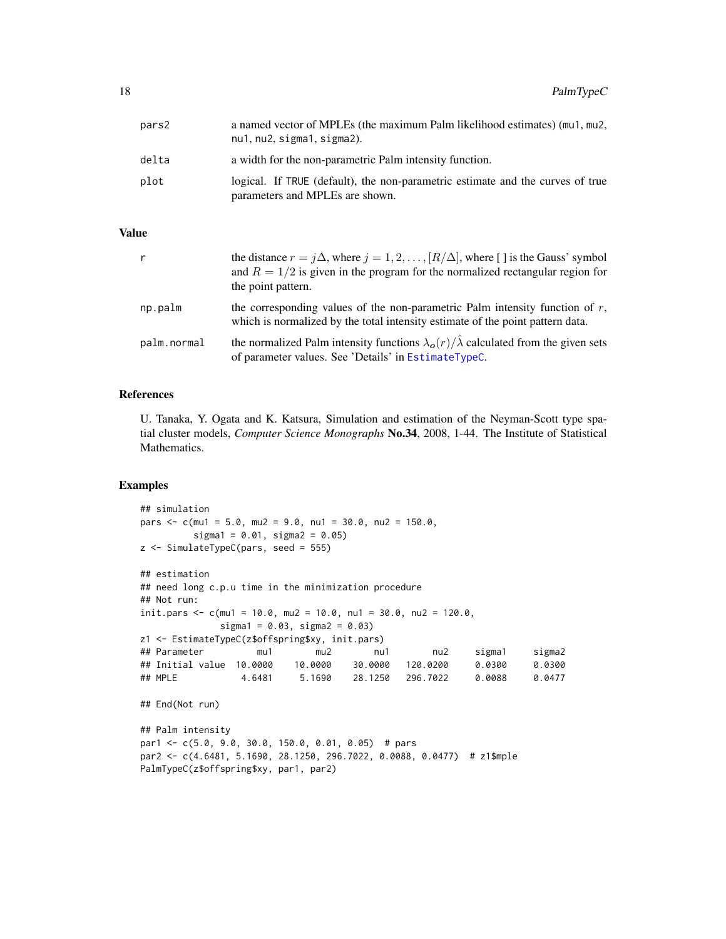<span id="page-17-0"></span>

| pars2 | a named vector of MPLEs (the maximum Palm likelihood estimates) (mu1, mu2,<br>nu1, nu2, sigma1, sigma2).          |
|-------|-------------------------------------------------------------------------------------------------------------------|
| delta | a width for the non-parametric Palm intensity function.                                                           |
| plot  | logical. If TRUE (default), the non-parametric estimate and the curves of true<br>parameters and MPLEs are shown. |

# Value

| r           | the distance $r = j\Delta$ , where $j = 1, 2, , [R/\Delta]$ , where [] is the Gauss' symbol<br>and $R = 1/2$ is given in the program for the normalized rectangular region for<br>the point pattern. |
|-------------|------------------------------------------------------------------------------------------------------------------------------------------------------------------------------------------------------|
| np.palm     | the corresponding values of the non-parametric Palm intensity function of $r$ ,<br>which is normalized by the total intensity estimate of the point pattern data.                                    |
| palm.normal | the normalized Palm intensity functions $\lambda_{\mathbf{o}}(r)/\hat{\lambda}$ calculated from the given sets<br>of parameter values. See 'Details' in EstimateTypeC.                               |

#### References

U. Tanaka, Y. Ogata and K. Katsura, Simulation and estimation of the Neyman-Scott type spatial cluster models, *Computer Science Monographs* No.34, 2008, 1-44. The Institute of Statistical Mathematics.

#### Examples

```
## simulation
pars \leq c(mu1 = 5.0, mu2 = 9.0, nu1 = 30.0, nu2 = 150.0,
         sigma1 = 0.01, sigma2 = 0.05)
z <- SimulateTypeC(pars, seed = 555)
## estimation
## need long c.p.u time in the minimization procedure
## Not run:
init.pars <- c(mu1 = 10.0, mu2 = 10.0, nu1 = 30.0, nu2 = 120.0,
             signal = 0.03, sigma2 = 0.03)z1 <- EstimateTypeC(z$offspring$xy, init.pars)
## Parameter mu1 mu2 nu1 nu2 sigma1 sigma2
## Initial value 10.0000 10.0000 30.0000 120.0200 0.0300 0.0300
                4.6481 5.1690 28.1250 296.7022 0.0088 0.0477
## End(Not run)
## Palm intensity
par1 <- c(5.0, 9.0, 30.0, 150.0, 0.01, 0.05) # pars
par2 <- c(4.6481, 5.1690, 28.1250, 296.7022, 0.0088, 0.0477) # z1$mple
PalmTypeC(z$offspring$xy, par1, par2)
```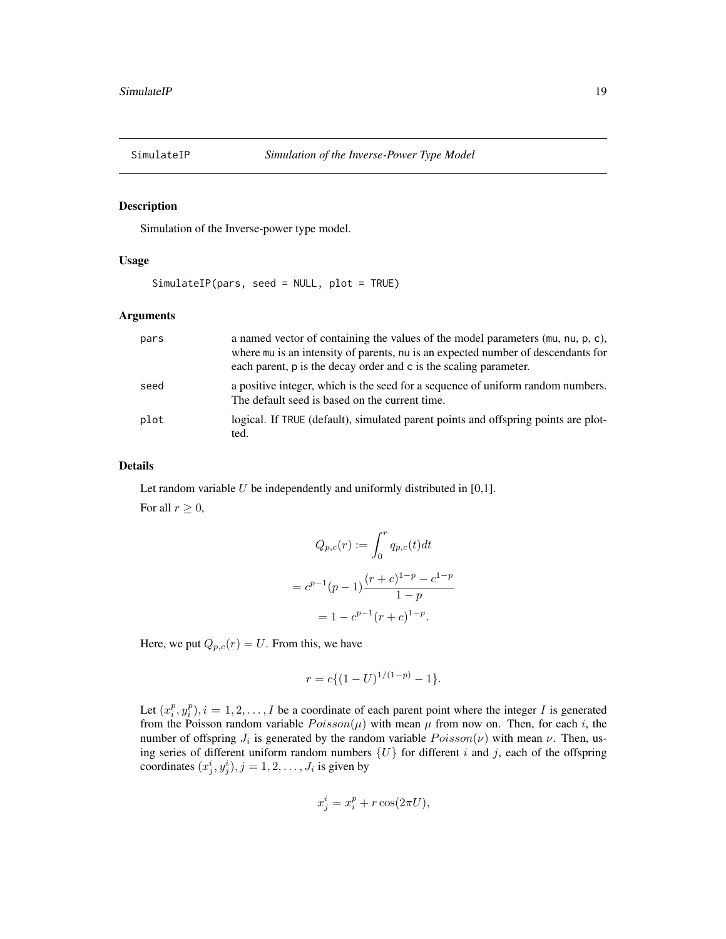<span id="page-18-1"></span><span id="page-18-0"></span>

#### Description

Simulation of the Inverse-power type model.

# Usage

SimulateIP(pars, seed = NULL, plot = TRUE)

#### Arguments

| pars | a named vector of containing the values of the model parameters (mu, nu, p, c),<br>where mu is an intensity of parents, nu is an expected number of descendants for<br>each parent, p is the decay order and c is the scaling parameter. |
|------|------------------------------------------------------------------------------------------------------------------------------------------------------------------------------------------------------------------------------------------|
| seed | a positive integer, which is the seed for a sequence of uniform random numbers.<br>The default seed is based on the current time.                                                                                                        |
| plot | logical. If TRUE (default), simulated parent points and offspring points are plot-<br>ted.                                                                                                                                               |

#### Details

Let random variable  $U$  be independently and uniformly distributed in [0,1]. For all  $r \geq 0$ ,

$$
Q_{p,c}(r) := \int_0^r q_{p,c}(t)dt
$$
  
=  $c^{p-1}(p-1)\frac{(r+c)^{1-p} - c^{1-p}}{1-p}$   
=  $1 - c^{p-1}(r+c)^{1-p}$ .

Here, we put  $Q_{p,c}(r) = U$ . From this, we have

$$
r = c \{ (1 - U)^{1/(1-p)} - 1 \}.
$$

Let  $(x_i^p, y_i^p), i = 1, 2, \ldots, I$  be a coordinate of each parent point where the integer I is generated from the Poisson random variable  $Poisson(\mu)$  with mean  $\mu$  from now on. Then, for each i, the number of offspring  $J_i$  is generated by the random variable  $Poisson(\nu)$  with mean  $\nu$ . Then, using series of different uniform random numbers  $\{U\}$  for different i and j, each of the offspring coordinates  $(x_j^i, y_j^i), j = 1, 2, \dots, J_i$  is given by

$$
x_j^i = x_i^p + r \cos(2\pi U),
$$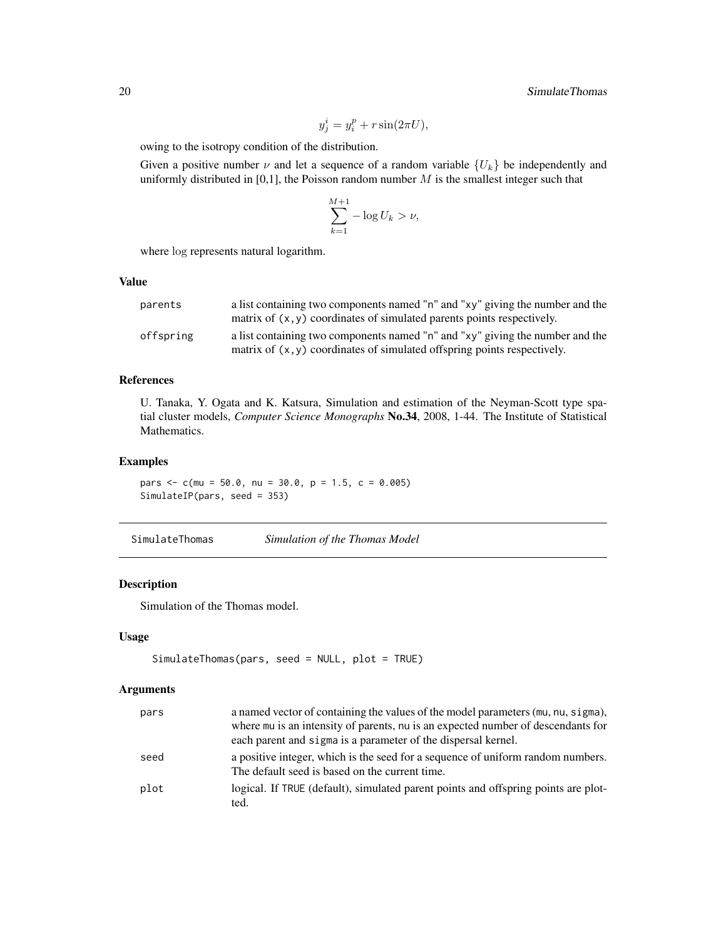$$
y_j^i = y_i^p + r \sin(2\pi U),
$$

<span id="page-19-0"></span>owing to the isotropy condition of the distribution.

Given a positive number  $\nu$  and let a sequence of a random variable  $\{U_k\}$  be independently and uniformly distributed in [0,1], the Poisson random number  $M$  is the smallest integer such that

$$
\sum_{k=1}^{M+1} -\log U_k > \nu,
$$

where log represents natural logarithm.

#### Value

| parents   | a list containing two components named "n" and "xy" giving the number and the |
|-----------|-------------------------------------------------------------------------------|
|           | matrix of $(x, y)$ coordinates of simulated parents points respectively.      |
| offspring | a list containing two components named "n" and "xy" giving the number and the |
|           | matrix of $(x, y)$ coordinates of simulated offspring points respectively.    |

# References

U. Tanaka, Y. Ogata and K. Katsura, Simulation and estimation of the Neyman-Scott type spatial cluster models, *Computer Science Monographs* No.34, 2008, 1-44. The Institute of Statistical Mathematics.

#### Examples

pars  $\leq$  c(mu = 50.0, nu = 30.0, p = 1.5, c = 0.005) SimulateIP(pars, seed = 353)

<span id="page-19-1"></span>

| SimulateThomas | Simulation of the Thomas Model |  |  |  |
|----------------|--------------------------------|--|--|--|
|----------------|--------------------------------|--|--|--|

# Description

Simulation of the Thomas model.

#### Usage

```
SimulateThomas(pars, seed = NULL, plot = TRUE)
```
#### Arguments

| pars | a named vector of containing the values of the model parameters (mu, nu, sigma),<br>where mu is an intensity of parents, nu is an expected number of descendants for<br>each parent and sigma is a parameter of the dispersal kernel. |
|------|---------------------------------------------------------------------------------------------------------------------------------------------------------------------------------------------------------------------------------------|
| seed | a positive integer, which is the seed for a sequence of uniform random numbers.<br>The default seed is based on the current time.                                                                                                     |
| plot | logical. If TRUE (default), simulated parent points and offspring points are plot-<br>ted.                                                                                                                                            |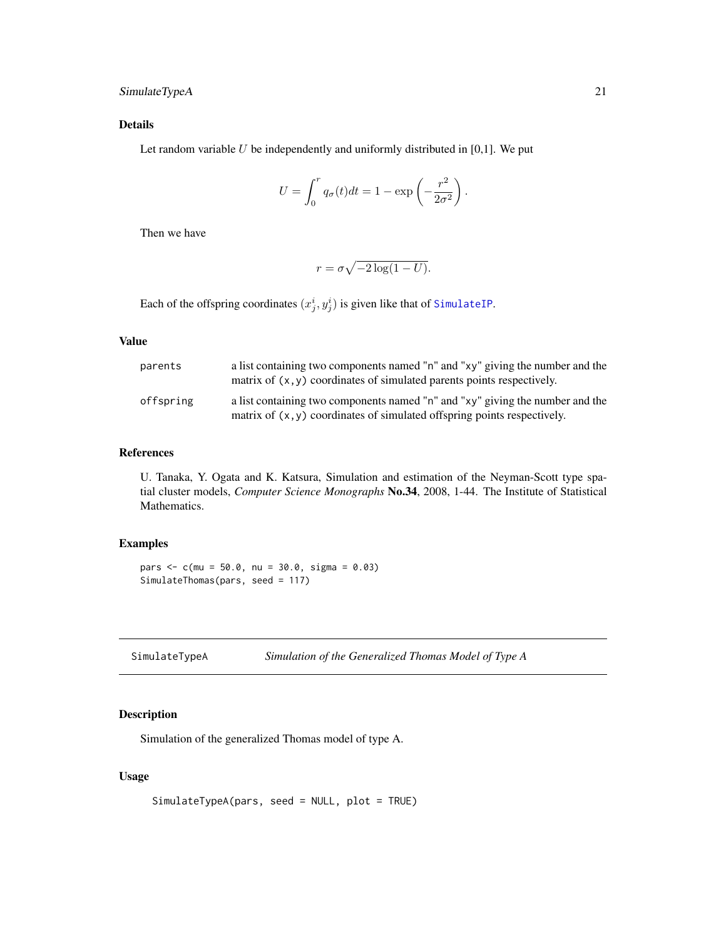# <span id="page-20-0"></span>SimulateTypeA 21

# Details

Let random variable  $U$  be independently and uniformly distributed in [0,1]. We put

$$
U = \int_0^r q_\sigma(t)dt = 1 - \exp\left(-\frac{r^2}{2\sigma^2}\right).
$$

Then we have

$$
r = \sigma \sqrt{-2\log(1 - U)}.
$$

Each of the offspring coordinates  $(x_j^i, y_j^i)$  is given like that of [SimulateIP](#page-18-1).

#### Value

| parents   | a list containing two components named "n" and "xy" giving the number and the<br>matrix of $(x, y)$ coordinates of simulated parents points respectively.   |
|-----------|-------------------------------------------------------------------------------------------------------------------------------------------------------------|
| offspring | a list containing two components named "n" and "xy" giving the number and the<br>matrix of $(x, y)$ coordinates of simulated offspring points respectively. |

#### References

U. Tanaka, Y. Ogata and K. Katsura, Simulation and estimation of the Neyman-Scott type spatial cluster models, *Computer Science Monographs* No.34, 2008, 1-44. The Institute of Statistical Mathematics.

# Examples

pars <- c(mu = 50.0, nu = 30.0, sigma = 0.03) SimulateThomas(pars, seed = 117)

<span id="page-20-1"></span>

| SimulateTypeA | Simulation of the Generalized Thomas Model of Type A |  |
|---------------|------------------------------------------------------|--|
|---------------|------------------------------------------------------|--|

# Description

Simulation of the generalized Thomas model of type A.

# Usage

```
SimulateTypeA(pars, seed = NULL, plot = TRUE)
```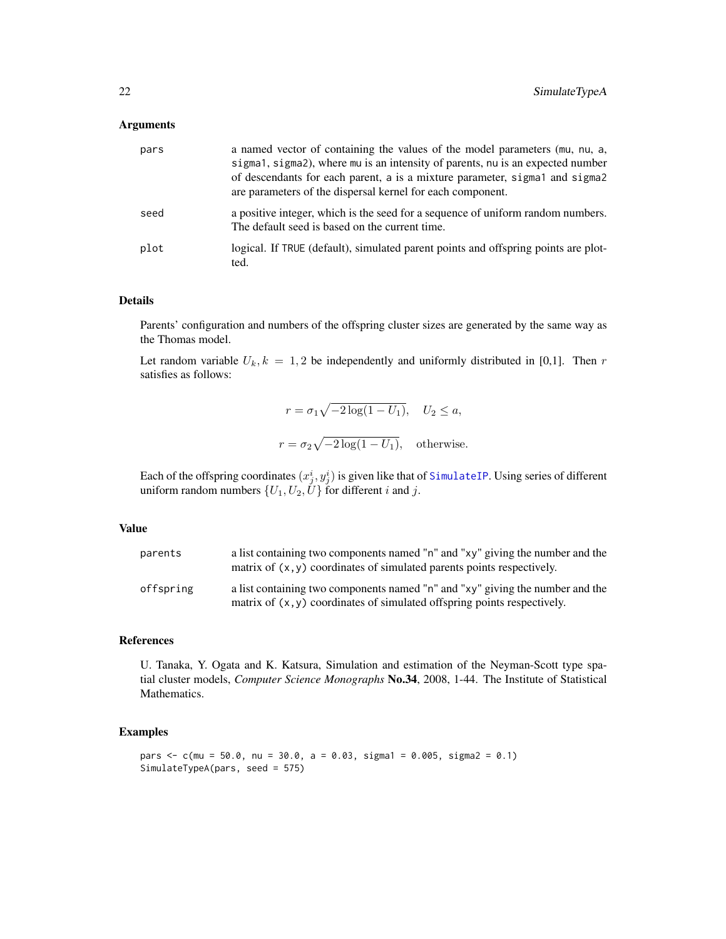#### <span id="page-21-0"></span>Arguments

| pars | a named vector of containing the values of the model parameters (mu, nu, a,<br>sigma1, sigma2), where mu is an intensity of parents, nu is an expected number<br>of descendants for each parent, a is a mixture parameter, sigmal and sigmal<br>are parameters of the dispersal kernel for each component. |
|------|------------------------------------------------------------------------------------------------------------------------------------------------------------------------------------------------------------------------------------------------------------------------------------------------------------|
| seed | a positive integer, which is the seed for a sequence of uniform random numbers.<br>The default seed is based on the current time.                                                                                                                                                                          |
| plot | logical. If TRUE (default), simulated parent points and offspring points are plot-<br>ted.                                                                                                                                                                                                                 |

#### Details

Parents' configuration and numbers of the offspring cluster sizes are generated by the same way as the Thomas model.

Let random variable  $U_k$ ,  $k = 1, 2$  be independently and uniformly distributed in [0,1]. Then r satisfies as follows:

$$
r = \sigma_1 \sqrt{-2 \log(1 - U_1)}, \quad U_2 \le a,
$$
  

$$
r = \sigma_2 \sqrt{-2 \log(1 - U_1)}, \quad \text{otherwise.}
$$

Each of the offspring coordinates  $(x_j^i, y_j^i)$  is given like that of [SimulateIP](#page-18-1). Using series of different uniform random numbers  $\{U_1, U_2, U\}$  for different i and j.

#### Value

| parents   | a list containing two components named "n" and "xy" giving the number and the<br>matrix of $(x, y)$ coordinates of simulated parents points respectively.   |
|-----------|-------------------------------------------------------------------------------------------------------------------------------------------------------------|
| offspring | a list containing two components named "n" and "xy" giving the number and the<br>matrix of $(x, y)$ coordinates of simulated offspring points respectively. |

#### References

U. Tanaka, Y. Ogata and K. Katsura, Simulation and estimation of the Neyman-Scott type spatial cluster models, *Computer Science Monographs* No.34, 2008, 1-44. The Institute of Statistical Mathematics.

# Examples

```
pars \leq c(mu = 50.0, nu = 30.0, a = 0.03, sigma1 = 0.005, sigma2 = 0.1)
SimulateTypeA(pars, seed = 575)
```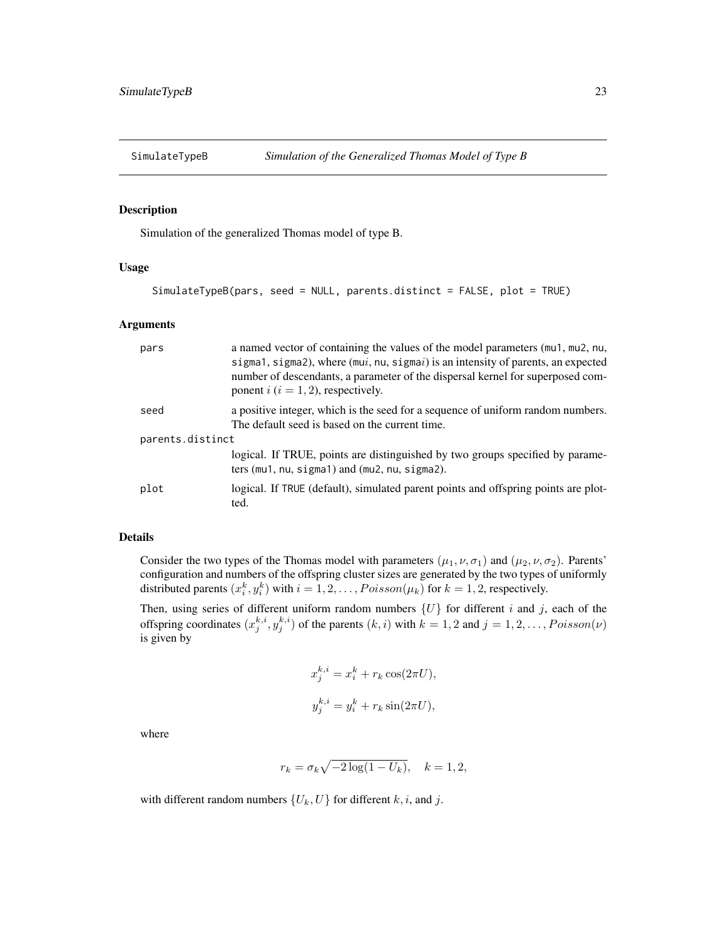<span id="page-22-1"></span><span id="page-22-0"></span>

#### Description

Simulation of the generalized Thomas model of type B.

# Usage

```
SimulateTypeB(pars, seed = NULL, parents.distinct = FALSE, plot = TRUE)
```
#### Arguments

| pars             | a named vector of containing the values of the model parameters (mu1, mu2, nu,<br>sigma1, sigma2), where $(mui, nu, sigmai)$ is an intensity of parents, an expected<br>number of descendants, a parameter of the dispersal kernel for superposed com-<br>ponent $i$ ( $i = 1, 2$ ), respectively. |  |  |
|------------------|----------------------------------------------------------------------------------------------------------------------------------------------------------------------------------------------------------------------------------------------------------------------------------------------------|--|--|
| seed             | a positive integer, which is the seed for a sequence of uniform random numbers.<br>The default seed is based on the current time.                                                                                                                                                                  |  |  |
| parents.distinct |                                                                                                                                                                                                                                                                                                    |  |  |
|                  | logical. If TRUE, points are distinguished by two groups specified by parame-<br>ters $(mu1, nu, sigma1)$ and $(mu2, nu, sigma2)$ .                                                                                                                                                                |  |  |
| plot             | logical. If TRUE (default), simulated parent points and offspring points are plot-<br>ted.                                                                                                                                                                                                         |  |  |

#### Details

Consider the two types of the Thomas model with parameters  $(\mu_1, \nu, \sigma_1)$  and  $(\mu_2, \nu, \sigma_2)$ . Parents' configuration and numbers of the offspring cluster sizes are generated by the two types of uniformly distributed parents  $(x_i^k, y_i^k)$  with  $i = 1, 2, ..., Poisson(\mu_k)$  for  $k = 1, 2$ , respectively.

Then, using series of different uniform random numbers  $\{U\}$  for different i and j, each of the offspring coordinates  $(x_j^{k,i}, y_j^{k,i})$  of the parents  $(k,i)$  with  $k = 1, 2$  and  $j = 1, 2, \ldots, Poisson(\nu)$ is given by

$$
x_j^{k,i} = x_i^k + r_k \cos(2\pi U),
$$
  

$$
y_j^{k,i} = y_i^k + r_k \sin(2\pi U),
$$

where

$$
r_k = \sigma_k \sqrt{-2 \log(1 - U_k)}, \quad k = 1, 2,
$$

with different random numbers  $\{U_k, U\}$  for different k, i, and j.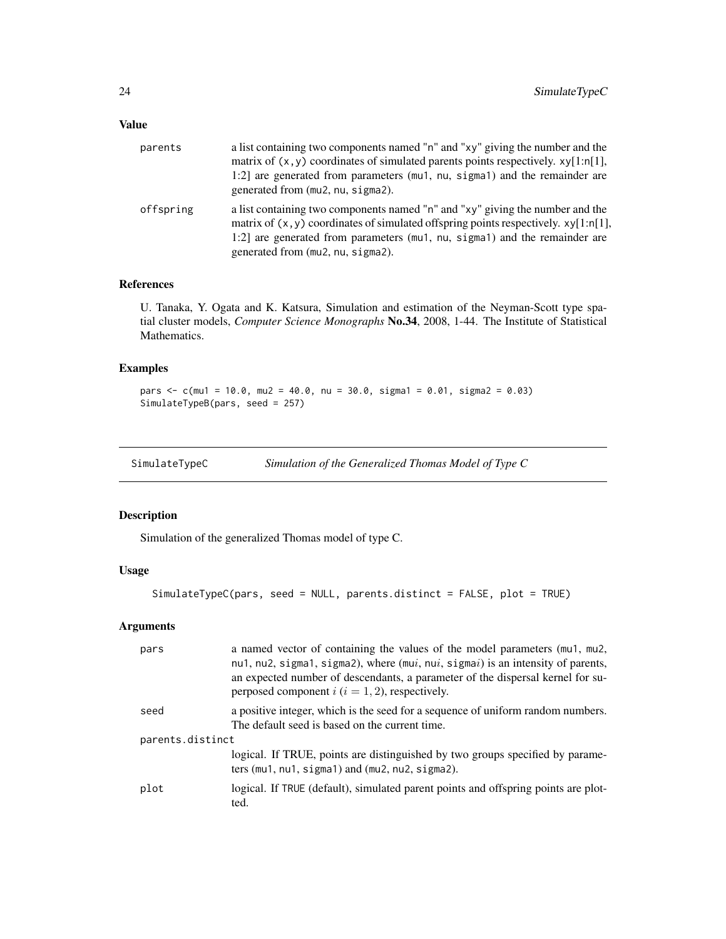# <span id="page-23-0"></span>Value

| parents   | a list containing two components named "n" and "xy" giving the number and the<br>matrix of $(x, y)$ coordinates of simulated parents points respectively. $xy[1:n[1],$<br>1:2] are generated from parameters (mu1, nu, sigma1) and the remainder are<br>generated from (mu2, nu, sigma2).   |
|-----------|---------------------------------------------------------------------------------------------------------------------------------------------------------------------------------------------------------------------------------------------------------------------------------------------|
| offspring | a list containing two components named "n" and "xy" giving the number and the<br>matrix of $(x, y)$ coordinates of simulated offspring points respectively. $xy[1:n[1],$<br>1:2] are generated from parameters (mu1, nu, sigma1) and the remainder are<br>generated from (mu2, nu, sigma2). |

# References

U. Tanaka, Y. Ogata and K. Katsura, Simulation and estimation of the Neyman-Scott type spatial cluster models, *Computer Science Monographs* No.34, 2008, 1-44. The Institute of Statistical Mathematics.

# Examples

```
pars <- c(mu1 = 10.0, mu2 = 40.0, nu = 30.0, sigma1 = 0.01, sigma2 = 0.03)
SimulateTypeB(pars, seed = 257)
```
<span id="page-23-1"></span>

| SimulateTypeC | Simulation of the Generalized Thomas Model of Type C |  |
|---------------|------------------------------------------------------|--|
|               |                                                      |  |

# Description

Simulation of the generalized Thomas model of type C.

# Usage

```
SimulateTypeC(pars, seed = NULL, parents.distinct = FALSE, plot = TRUE)
```
# Arguments

| pars             | a named vector of containing the values of the model parameters (mu1, mu2,<br>nu1, nu2, sigma1, sigma2), where (mui, nui, sigmai) is an intensity of parents,<br>an expected number of descendants, a parameter of the dispersal kernel for su-<br>perposed component $i$ ( $i = 1, 2$ ), respectively. |  |
|------------------|---------------------------------------------------------------------------------------------------------------------------------------------------------------------------------------------------------------------------------------------------------------------------------------------------------|--|
| seed             | a positive integer, which is the seed for a sequence of uniform random numbers.<br>The default seed is based on the current time.                                                                                                                                                                       |  |
| parents.distinct |                                                                                                                                                                                                                                                                                                         |  |
|                  | logical. If TRUE, points are distinguished by two groups specified by parame-<br>ters (mu1, $nu1$ , $sigma1$ ) and (mu2, $nu2$ , $sigma2$ ).                                                                                                                                                            |  |
| plot             | logical. If TRUE (default), simulated parent points and offspring points are plot-<br>ted.                                                                                                                                                                                                              |  |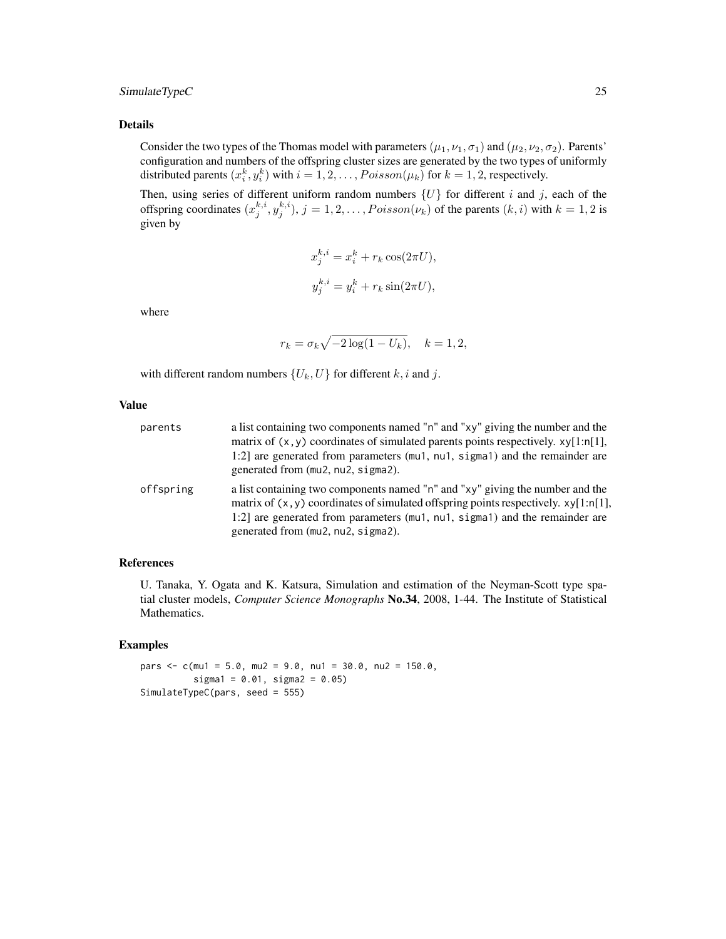# SimulateTypeC 25

#### Details

Consider the two types of the Thomas model with parameters ( $\mu_1, \nu_1, \sigma_1$ ) and ( $\mu_2, \nu_2, \sigma_2$ ). Parents' configuration and numbers of the offspring cluster sizes are generated by the two types of uniformly distributed parents  $(x_i^k, y_i^k)$  with  $i = 1, 2, ..., Poisson(\mu_k)$  for  $k = 1, 2$ , respectively.

Then, using series of different uniform random numbers  $\{U\}$  for different i and j, each of the offspring coordinates  $(x_j^{k,i}, y_j^{k,i})$ ,  $j = 1, 2, ..., Poisson(\nu_k)$  of the parents  $(k, i)$  with  $k = 1, 2$  is given by

$$
x_j^{k,i} = x_i^k + r_k \cos(2\pi U),
$$
  

$$
y_j^{k,i} = y_i^k + r_k \sin(2\pi U),
$$

where

$$
r_k = \sigma_k \sqrt{-2 \log(1 - U_k)}, \quad k = 1, 2,
$$

with different random numbers  $\{U_k, U\}$  for different k, i and j.

# Value

| parents   | a list containing two components named "n" and "xy" giving the number and the<br>matrix of $(x, y)$ coordinates of simulated parents points respectively. $xy[1:n[1],$<br>1:2] are generated from parameters (mu1, nu1, sigma1) and the remainder are<br>generated from (mu2, nu2, sigma2).   |
|-----------|-----------------------------------------------------------------------------------------------------------------------------------------------------------------------------------------------------------------------------------------------------------------------------------------------|
| offspring | a list containing two components named "n" and "xy" giving the number and the<br>matrix of $(x, y)$ coordinates of simulated offspring points respectively. $xy[1:n[1],$<br>1:2] are generated from parameters (mu1, nu1, sigma1) and the remainder are<br>generated from (mu2, nu2, sigma2). |

#### References

U. Tanaka, Y. Ogata and K. Katsura, Simulation and estimation of the Neyman-Scott type spatial cluster models, *Computer Science Monographs* No.34, 2008, 1-44. The Institute of Statistical Mathematics.

#### Examples

pars  $\leq$  c(mu1 = 5.0, mu2 = 9.0, nu1 = 30.0, nu2 = 150.0,  $sigma1 = 0.01$ ,  $sigma2 = 0.05$ ) SimulateTypeC(pars, seed = 555)